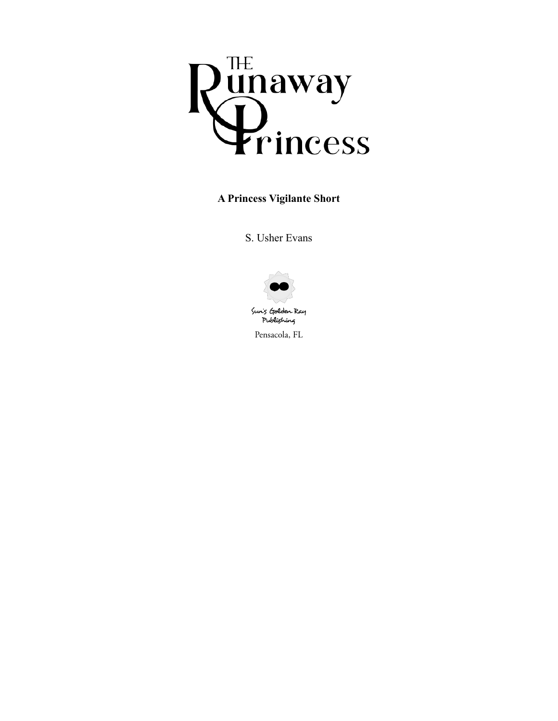

**A Princess Vigilante Short**

S. Usher Evans



Pensacola, FL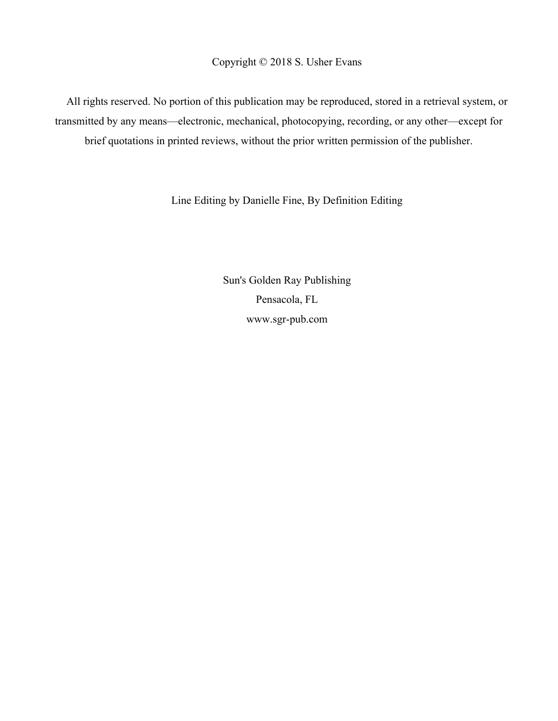Copyright © 2018 S. Usher Evans

All rights reserved. No portion of this publication may be reproduced, stored in a retrieval system, or transmitted by any means—electronic, mechanical, photocopying, recording, or any other—except for brief quotations in printed reviews, without the prior written permission of the publisher.

Line Editing by Danielle Fine, By Definition Editing

Sun's Golden Ray Publishing Pensacola, FL www.sgr-pub.com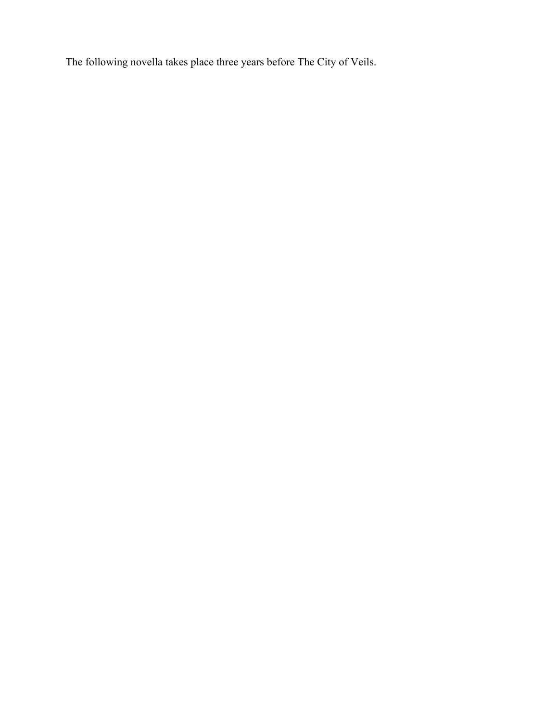The following novella takes place three years before The City of Veils.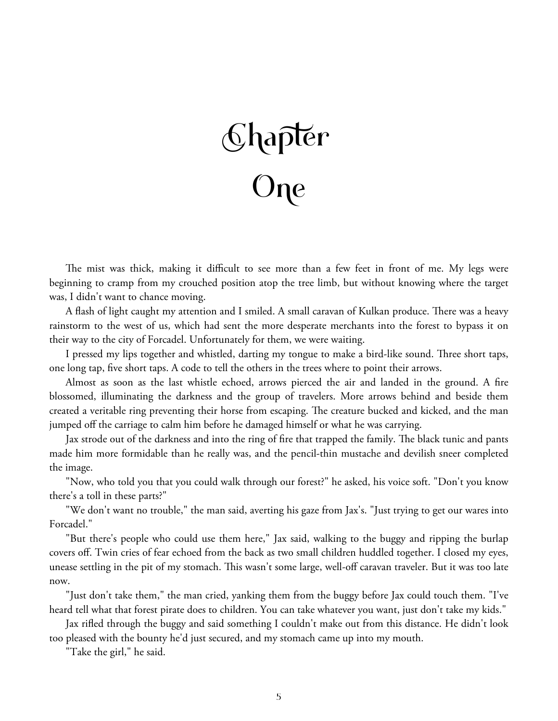## Chapter One

The mist was thick, making it difficult to see more than a few feet in front of me. My legs were beginning to cramp from my crouched position atop the tree limb, but without knowing where the target was, I didn't want to chance moving.

A flash of light caught my attention and I smiled. A small caravan of Kulkan produce. There was a heavy rainstorm to the west of us, which had sent the more desperate merchants into the forest to bypass it on their way to the city of Forcadel. Unfortunately for them, we were waiting.

I pressed my lips together and whistled, darting my tongue to make a bird-like sound. Three short taps, one long tap, five short taps. A code to tell the others in the trees where to point their arrows.

Almost as soon as the last whistle echoed, arrows pierced the air and landed in the ground. A fire blossomed, illuminating the darkness and the group of travelers. More arrows behind and beside them created a veritable ring preventing their horse from escaping. The creature bucked and kicked, and the man jumped off the carriage to calm him before he damaged himself or what he was carrying.

Jax strode out of the darkness and into the ring of fire that trapped the family. The black tunic and pants made him more formidable than he really was, and the pencil-thin mustache and devilish sneer completed the image.

"Now, who told you that you could walk through our forest?" he asked, his voice soft. "Don't you know there's a toll in these parts?"

"We don't want no trouble," the man said, averting his gaze from Jax's. "Just trying to get our wares into Forcadel."

"But there's people who could use them here," Jax said, walking to the buggy and ripping the burlap covers off. Twin cries of fear echoed from the back as two small children huddled together. I closed my eyes, unease settling in the pit of my stomach. Tis wasn't some large, well-off caravan traveler. But it was too late now.

"Just don't take them," the man cried, yanking them from the buggy before Jax could touch them. "I've heard tell what that forest pirate does to children. You can take whatever you want, just don't take my kids."

Jax rifled through the buggy and said something I couldn't make out from this distance. He didn't look too pleased with the bounty he'd just secured, and my stomach came up into my mouth.

"Take the girl," he said.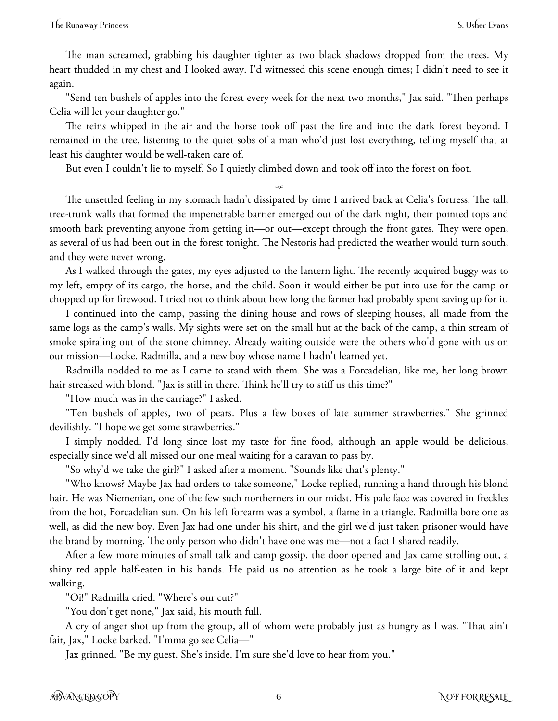The man screamed, grabbing his daughter tighter as two black shadows dropped from the trees. My heart thudded in my chest and I looked away. I'd witnessed this scene enough times; I didn't need to see it again.

"Send ten bushels of apples into the forest every week for the next two months," Jax said. "Then perhaps Celia will let your daughter go."

The reins whipped in the air and the horse took off past the fire and into the dark forest beyond. I remained in the tree, listening to the quiet sobs of a man who'd just lost everything, telling myself that at least his daughter would be well-taken care of.

But even I couldn't lie to myself. So I quietly climbed down and took off into the forest on foot.

 $\rightarrow$ 

The unsettled feeling in my stomach hadn't dissipated by time I arrived back at Celia's fortress. The tall, tree-trunk walls that formed the impenetrable barrier emerged out of the dark night, their pointed tops and smooth bark preventing anyone from getting in—or out—except through the front gates. They were open, as several of us had been out in the forest tonight. The Nestoris had predicted the weather would turn south, and they were never wrong.

As I walked through the gates, my eyes adjusted to the lantern light. The recently acquired buggy was to my left, empty of its cargo, the horse, and the child. Soon it would either be put into use for the camp or chopped up for firewood. I tried not to think about how long the farmer had probably spent saving up for it.

I continued into the camp, passing the dining house and rows of sleeping houses, all made from the same logs as the camp's walls. My sights were set on the small hut at the back of the camp, a thin stream of smoke spiraling out of the stone chimney. Already waiting outside were the others who'd gone with us on our mission—Locke, Radmilla, and a new boy whose name I hadn't learned yet.

Radmilla nodded to me as I came to stand with them. She was a Forcadelian, like me, her long brown hair streaked with blond. "Jax is still in there. Think he'll try to stiff us this time?"

"How much was in the carriage?" I asked.

"Ten bushels of apples, two of pears. Plus a few boxes of late summer strawberries." She grinned devilishly. "I hope we get some strawberries."

I simply nodded. I'd long since lost my taste for fine food, although an apple would be delicious, especially since we'd all missed our one meal waiting for a caravan to pass by.

"So why'd we take the girl?" I asked after a moment. "Sounds like that's plenty."

"Who knows? Maybe Jax had orders to take someone," Locke replied, running a hand through his blond hair. He was Niemenian, one of the few such northerners in our midst. His pale face was covered in freckles from the hot, Forcadelian sun. On his left forearm was a symbol, a flame in a triangle. Radmilla bore one as well, as did the new boy. Even Jax had one under his shirt, and the girl we'd just taken prisoner would have the brand by morning. The only person who didn't have one was me—not a fact I shared readily.

After a few more minutes of small talk and camp gossip, the door opened and Jax came strolling out, a shiny red apple half-eaten in his hands. He paid us no attention as he took a large bite of it and kept walking.

"Oi!" Radmilla cried. "Where's our cut?"

"You don't get none," Jax said, his mouth full.

A cry of anger shot up from the group, all of whom were probably just as hungry as I was. "That ain't fair, Jax," Locke barked. "I'mma go see Celia—"

Jax grinned. "Be my guest. She's inside. I'm sure she'd love to hear from you."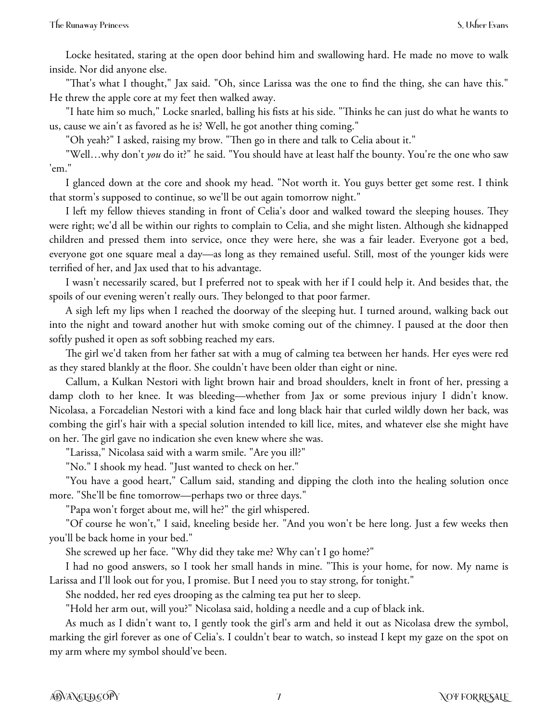Locke hesitated, staring at the open door behind him and swallowing hard. He made no move to walk inside. Nor did anyone else.

"Tat's what I thought," Jax said. "Oh, since Larissa was the one to find the thing, she can have this." He threw the apple core at my feet then walked away.

"I hate him so much," Locke snarled, balling his fists at his side. "Thinks he can just do what he wants to us, cause we ain't as favored as he is? Well, he got another thing coming."

"Oh yeah?" I asked, raising my brow. "Then go in there and talk to Celia about it."

"Well…why don't *you* do it?" he said. "You should have at least half the bounty. You're the one who saw 'em."

I glanced down at the core and shook my head. "Not worth it. You guys better get some rest. I think that storm's supposed to continue, so we'll be out again tomorrow night."

I left my fellow thieves standing in front of Celia's door and walked toward the sleeping houses. They were right; we'd all be within our rights to complain to Celia, and she might listen. Although she kidnapped children and pressed them into service, once they were here, she was a fair leader. Everyone got a bed, everyone got one square meal a day—as long as they remained useful. Still, most of the younger kids were terrified of her, and Jax used that to his advantage.

I wasn't necessarily scared, but I preferred not to speak with her if I could help it. And besides that, the spoils of our evening weren't really ours. They belonged to that poor farmer.

A sigh left my lips when I reached the doorway of the sleeping hut. I turned around, walking back out into the night and toward another hut with smoke coming out of the chimney. I paused at the door then softly pushed it open as soft sobbing reached my ears.

The girl we'd taken from her father sat with a mug of calming tea between her hands. Her eyes were red as they stared blankly at the floor. She couldn't have been older than eight or nine.

Callum, a Kulkan Nestori with light brown hair and broad shoulders, knelt in front of her, pressing a damp cloth to her knee. It was bleeding—whether from Jax or some previous injury I didn't know. Nicolasa, a Forcadelian Nestori with a kind face and long black hair that curled wildly down her back, was combing the girl's hair with a special solution intended to kill lice, mites, and whatever else she might have on her. The girl gave no indication she even knew where she was.

"Larissa," Nicolasa said with a warm smile. "Are you ill?"

"No." I shook my head. "Just wanted to check on her."

"You have a good heart," Callum said, standing and dipping the cloth into the healing solution once more. "She'll be fine tomorrow—perhaps two or three days."

"Papa won't forget about me, will he?" the girl whispered.

"Of course he won't," I said, kneeling beside her. "And you won't be here long. Just a few weeks then you'll be back home in your bed."

She screwed up her face. "Why did they take me? Why can't I go home?"

I had no good answers, so I took her small hands in mine. "This is your home, for now. My name is Larissa and I'll look out for you, I promise. But I need you to stay strong, for tonight."

She nodded, her red eyes drooping as the calming tea put her to sleep.

"Hold her arm out, will you?" Nicolasa said, holding a needle and a cup of black ink.

As much as I didn't want to, I gently took the girl's arm and held it out as Nicolasa drew the symbol, marking the girl forever as one of Celia's. I couldn't bear to watch, so instead I kept my gaze on the spot on my arm where my symbol should've been.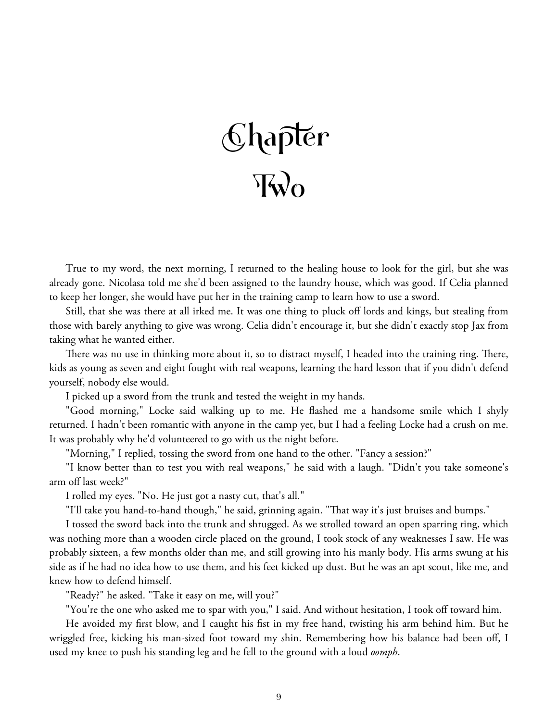## Chapter  $\sqrt{\frac{1}{10}}$

True to my word, the next morning, I returned to the healing house to look for the girl, but she was already gone. Nicolasa told me she'd been assigned to the laundry house, which was good. If Celia planned to keep her longer, she would have put her in the training camp to learn how to use a sword.

Still, that she was there at all irked me. It was one thing to pluck off lords and kings, but stealing from those with barely anything to give was wrong. Celia didn't encourage it, but she didn't exactly stop Jax from taking what he wanted either.

There was no use in thinking more about it, so to distract myself, I headed into the training ring. There, kids as young as seven and eight fought with real weapons, learning the hard lesson that if you didn't defend yourself, nobody else would.

I picked up a sword from the trunk and tested the weight in my hands.

"Good morning," Locke said walking up to me. He flashed me a handsome smile which I shyly returned. I hadn't been romantic with anyone in the camp yet, but I had a feeling Locke had a crush on me. It was probably why he'd volunteered to go with us the night before.

"Morning," I replied, tossing the sword from one hand to the other. "Fancy a session?"

"I know better than to test you with real weapons," he said with a laugh. "Didn't you take someone's arm off last week?"

I rolled my eyes. "No. He just got a nasty cut, that's all."

"I'll take you hand-to-hand though," he said, grinning again. "That way it's just bruises and bumps."

I tossed the sword back into the trunk and shrugged. As we strolled toward an open sparring ring, which was nothing more than a wooden circle placed on the ground, I took stock of any weaknesses I saw. He was probably sixteen, a few months older than me, and still growing into his manly body. His arms swung at his side as if he had no idea how to use them, and his feet kicked up dust. But he was an apt scout, like me, and knew how to defend himself.

"Ready?" he asked. "Take it easy on me, will you?"

"You're the one who asked me to spar with you," I said. And without hesitation, I took off toward him.

He avoided my first blow, and I caught his fist in my free hand, twisting his arm behind him. But he wriggled free, kicking his man-sized foot toward my shin. Remembering how his balance had been off, I used my knee to push his standing leg and he fell to the ground with a loud *oomph*.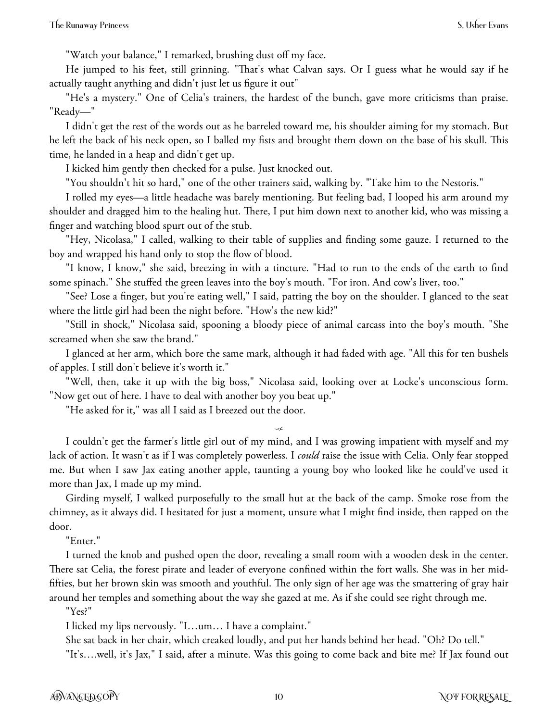"Watch your balance," I remarked, brushing dust off my face.

He jumped to his feet, still grinning. "That's what Calvan says. Or I guess what he would say if he actually taught anything and didn't just let us figure it out"

"He's a mystery." One of Celia's trainers, the hardest of the bunch, gave more criticisms than praise. "Ready—"

I didn't get the rest of the words out as he barreled toward me, his shoulder aiming for my stomach. But he left the back of his neck open, so I balled my fists and brought them down on the base of his skull. Tis time, he landed in a heap and didn't get up.

I kicked him gently then checked for a pulse. Just knocked out.

"You shouldn't hit so hard," one of the other trainers said, walking by. "Take him to the Nestoris."

I rolled my eyes—a little headache was barely mentioning. But feeling bad, I looped his arm around my shoulder and dragged him to the healing hut. There, I put him down next to another kid, who was missing a finger and watching blood spurt out of the stub.

"Hey, Nicolasa," I called, walking to their table of supplies and finding some gauze. I returned to the boy and wrapped his hand only to stop the flow of blood.

"I know, I know," she said, breezing in with a tincture. "Had to run to the ends of the earth to find some spinach." She stuffed the green leaves into the boy's mouth. "For iron. And cow's liver, too."

"See? Lose a finger, but you're eating well," I said, patting the boy on the shoulder. I glanced to the seat where the little girl had been the night before. "How's the new kid?"

"Still in shock," Nicolasa said, spooning a bloody piece of animal carcass into the boy's mouth. "She screamed when she saw the brand."

I glanced at her arm, which bore the same mark, although it had faded with age. "All this for ten bushels of apples. I still don't believe it's worth it."

"Well, then, take it up with the big boss," Nicolasa said, looking over at Locke's unconscious form. "Now get out of here. I have to deal with another boy you beat up."

"He asked for it," was all I said as I breezed out the door.

 $\rightarrow$ I couldn't get the farmer's little girl out of my mind, and I was growing impatient with myself and my lack of action. It wasn't as if I was completely powerless. I *could* raise the issue with Celia. Only fear stopped me. But when I saw Jax eating another apple, taunting a young boy who looked like he could've used it more than Jax, I made up my mind.

Girding myself, I walked purposefully to the small hut at the back of the camp. Smoke rose from the chimney, as it always did. I hesitated for just a moment, unsure what I might find inside, then rapped on the door.

"Enter."

I turned the knob and pushed open the door, revealing a small room with a wooden desk in the center. There sat Celia, the forest pirate and leader of everyone confined within the fort walls. She was in her midfifties, but her brown skin was smooth and youthful. The only sign of her age was the smattering of gray hair around her temples and something about the way she gazed at me. As if she could see right through me.

"Yes?"

I licked my lips nervously. "I…um… I have a complaint."

She sat back in her chair, which creaked loudly, and put her hands behind her head. "Oh? Do tell." "It's….well, it's Jax," I said, after a minute. Was this going to come back and bite me? If Jax found out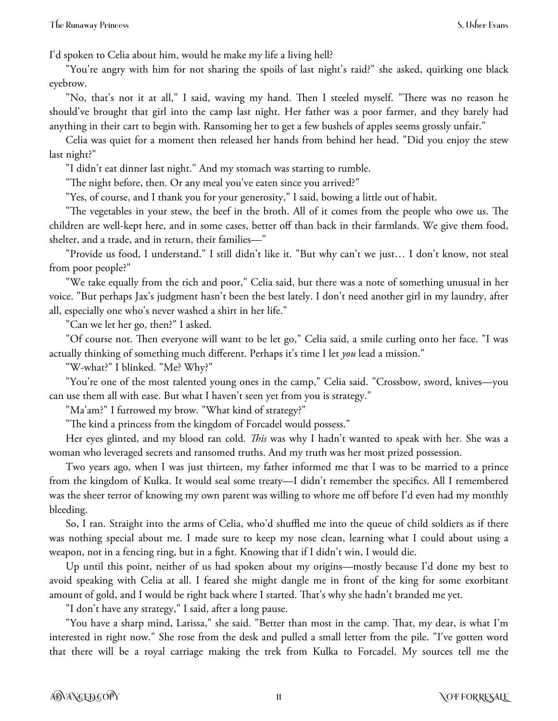I'd spoken to Celia about him, would he make my life a living hell?

"You're angry with him for not sharing the spoils of last night's raid?" she asked, quirking one black eyebrow.

"No, that's not it at all," I said, waving my hand. Then I steeled myself. "There was no reason he should've brought that girl into the camp last night. Her father was a poor farmer, and they barely had anything in their cart to begin with. Ransoming her to get a few bushels of apples seems grossly unfair."

Celia was quiet for a moment then released her hands from behind her head. "Did you enjoy the stew last night?"

"I didn't eat dinner last night." And my stomach was starting to rumble.

"The night before, then. Or any meal you've eaten since you arrived?"

"Yes, of course, and I thank you for your generosity," I said, bowing a little out of habit.

"The vegetables in your stew, the beef in the broth. All of it comes from the people who owe us. The children are well-kept here, and in some cases, better off than back in their farmlands. We give them food, shelter, and a trade, and in return, their families—"

"Provide us food, I understand." I still didn't like it. "But why can't we just… I don't know, not steal from poor people?"

"We take equally from the rich and poor," Celia said, but there was a note of something unusual in her voice. "But perhaps Jax's judgment hasn't been the best lately. I don't need another girl in my laundry, after all, especially one who's never washed a shirt in her life."

"Can we let her go, then?" I asked.

"Of course not. Then everyone will want to be let go," Celia said, a smile curling onto her face. "I was actually thinking of something much different. Perhaps it's time I let *you* lead a mission."

"W-what?" I blinked. "Me? Why?"

"You're one of the most talented young ones in the camp," Celia said. "Crossbow, sword, knives—you can use them all with ease. But what I haven't seen yet from you is strategy."

"Ma'am?" I furrowed my brow. "What kind of strategy?"

"The kind a princess from the kingdom of Forcadel would possess."

Her eyes glinted, and my blood ran cold. *Tis* was why I hadn't wanted to speak with her. She was a woman who leveraged secrets and ransomed truths. And my truth was her most prized possession.

Two years ago, when I was just thirteen, my father informed me that I was to be married to a prince from the kingdom of Kulka. It would seal some treaty—I didn't remember the specifics. All I remembered was the sheer terror of knowing my own parent was willing to whore me off before I'd even had my monthly bleeding.

So, I ran. Straight into the arms of Celia, who'd shuffled me into the queue of child soldiers as if there was nothing special about me. I made sure to keep my nose clean, learning what I could about using a weapon, not in a fencing ring, but in a fight. Knowing that if I didn't win, I would die.

Up until this point, neither of us had spoken about my origins—mostly because I'd done my best to avoid speaking with Celia at all. I feared she might dangle me in front of the king for some exorbitant amount of gold, and I would be right back where I started. That's why she hadn't branded me yet.

"I don't have any strategy," I said, after a long pause.

"You have a sharp mind, Larissa," she said. "Better than most in the camp. That, my dear, is what I'm interested in right now." She rose from the desk and pulled a small letter from the pile. "I've gotten word that there will be a royal carriage making the trek from Kulka to Forcadel. My sources tell me the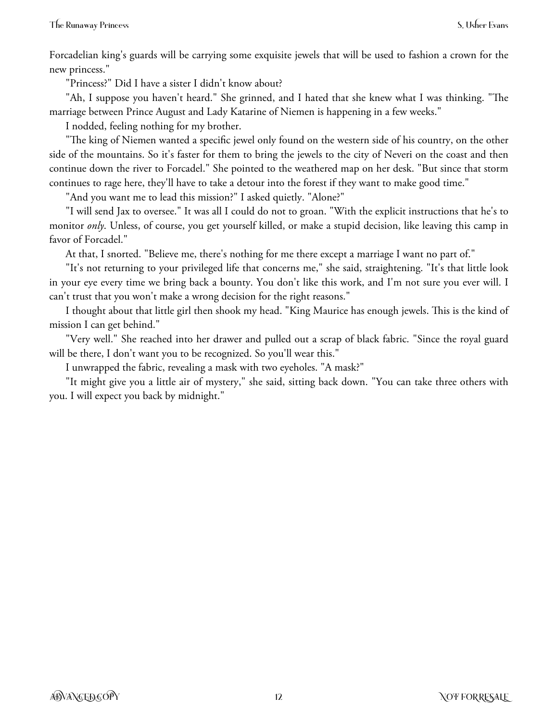Forcadelian king's guards will be carrying some exquisite jewels that will be used to fashion a crown for the new princess."

"Princess?" Did I have a sister I didn't know about?

"Ah, I suppose you haven't heard." She grinned, and I hated that she knew what I was thinking. "The marriage between Prince August and Lady Katarine of Niemen is happening in a few weeks."

I nodded, feeling nothing for my brother.

"The king of Niemen wanted a specific jewel only found on the western side of his country, on the other side of the mountains. So it's faster for them to bring the jewels to the city of Neveri on the coast and then continue down the river to Forcadel." She pointed to the weathered map on her desk. "But since that storm continues to rage here, they'll have to take a detour into the forest if they want to make good time."

"And you want me to lead this mission?" I asked quietly. "Alone?"

"I will send Jax to oversee." It was all I could do not to groan. "With the explicit instructions that he's to monitor *only*. Unless, of course, you get yourself killed, or make a stupid decision, like leaving this camp in favor of Forcadel."

At that, I snorted. "Believe me, there's nothing for me there except a marriage I want no part of."

"It's not returning to your privileged life that concerns me," she said, straightening. "It's that little look in your eye every time we bring back a bounty. You don't like this work, and I'm not sure you ever will. I can't trust that you won't make a wrong decision for the right reasons."

I thought about that little girl then shook my head. "King Maurice has enough jewels. Tis is the kind of mission I can get behind."

"Very well." She reached into her drawer and pulled out a scrap of black fabric. "Since the royal guard will be there, I don't want you to be recognized. So you'll wear this."

I unwrapped the fabric, revealing a mask with two eyeholes. "A mask?"

"It might give you a little air of mystery," she said, sitting back down. "You can take three others with you. I will expect you back by midnight."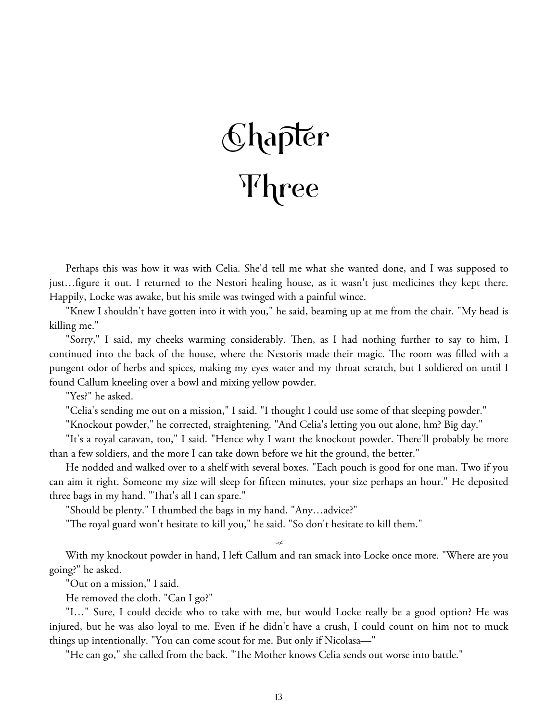## Chapter Three

Perhaps this was how it was with Celia. She'd tell me what she wanted done, and I was supposed to just…figure it out. I returned to the Nestori healing house, as it wasn't just medicines they kept there. Happily, Locke was awake, but his smile was twinged with a painful wince.

"Knew I shouldn't have gotten into it with you," he said, beaming up at me from the chair. "My head is killing me."

"Sorry," I said, my cheeks warming considerably. Then, as I had nothing further to say to him, I continued into the back of the house, where the Nestoris made their magic. The room was filled with a pungent odor of herbs and spices, making my eyes water and my throat scratch, but I soldiered on until I found Callum kneeling over a bowl and mixing yellow powder.

"Yes?" he asked.

"Celia's sending me out on a mission," I said. "I thought I could use some of that sleeping powder."

"Knockout powder," he corrected, straightening. "And Celia's letting you out alone, hm? Big day."

"It's a royal caravan, too," I said. "Hence why I want the knockout powder. There'll probably be more than a few soldiers, and the more I can take down before we hit the ground, the better."

He nodded and walked over to a shelf with several boxes. "Each pouch is good for one man. Two if you can aim it right. Someone my size will sleep for fifteen minutes, your size perhaps an hour." He deposited three bags in my hand. "That's all I can spare."

"Should be plenty." I thumbed the bags in my hand. "Any…advice?"

"The royal guard won't hesitate to kill you," he said. "So don't hesitate to kill them."

With my knockout powder in hand, I left Callum and ran smack into Locke once more. "Where are you going?" he asked.

 $\rightarrow$ 

"Out on a mission," I said.

He removed the cloth. "Can I go?"

"I…" Sure, I could decide who to take with me, but would Locke really be a good option? He was injured, but he was also loyal to me. Even if he didn't have a crush, I could count on him not to muck things up intentionally. "You can come scout for me. But only if Nicolasa—"

"He can go," she called from the back. "The Mother knows Celia sends out worse into battle."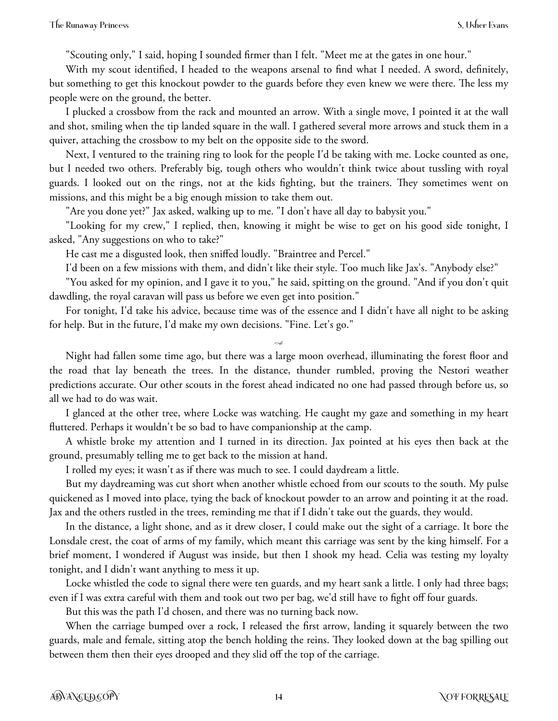"Scouting only," I said, hoping I sounded firmer than I felt. "Meet me at the gates in one hour."

With my scout identified, I headed to the weapons arsenal to find what I needed. A sword, definitely, but something to get this knockout powder to the guards before they even knew we were there. The less my people were on the ground, the better.

I plucked a crossbow from the rack and mounted an arrow. With a single move, I pointed it at the wall and shot, smiling when the tip landed square in the wall. I gathered several more arrows and stuck them in a quiver, attaching the crossbow to my belt on the opposite side to the sword.

Next, I ventured to the training ring to look for the people I'd be taking with me. Locke counted as one, but I needed two others. Preferably big, tough others who wouldn't think twice about tussling with royal guards. I looked out on the rings, not at the kids fighting, but the trainers. They sometimes went on missions, and this might be a big enough mission to take them out.

"Are you done yet?" Jax asked, walking up to me. "I don't have all day to babysit you."

"Looking for my crew," I replied, then, knowing it might be wise to get on his good side tonight, I asked, "Any suggestions on who to take?"

He cast me a disgusted look, then sniffed loudly. "Braintree and Percel."

I'd been on a few missions with them, and didn't like their style. Too much like Jax's. "Anybody else?"

"You asked for my opinion, and I gave it to you," he said, spitting on the ground. "And if you don't quit dawdling, the royal caravan will pass us before we even get into position."

For tonight, I'd take his advice, because time was of the essence and I didn't have all night to be asking for help. But in the future, I'd make my own decisions. "Fine. Let's go."

 $\rightarrow$ 

Night had fallen some time ago, but there was a large moon overhead, illuminating the forest floor and the road that lay beneath the trees. In the distance, thunder rumbled, proving the Nestori weather predictions accurate. Our other scouts in the forest ahead indicated no one had passed through before us, so all we had to do was wait.

I glanced at the other tree, where Locke was watching. He caught my gaze and something in my heart fluttered. Perhaps it wouldn't be so bad to have companionship at the camp.

A whistle broke my attention and I turned in its direction. Jax pointed at his eyes then back at the ground, presumably telling me to get back to the mission at hand.

I rolled my eyes; it wasn't as if there was much to see. I could daydream a little.

But my daydreaming was cut short when another whistle echoed from our scouts to the south. My pulse quickened as I moved into place, tying the back of knockout powder to an arrow and pointing it at the road. Jax and the others rustled in the trees, reminding me that if I didn't take out the guards, they would.

In the distance, a light shone, and as it drew closer, I could make out the sight of a carriage. It bore the Lonsdale crest, the coat of arms of my family, which meant this carriage was sent by the king himself. For a brief moment, I wondered if August was inside, but then I shook my head. Celia was testing my loyalty tonight, and I didn't want anything to mess it up.

Locke whistled the code to signal there were ten guards, and my heart sank a little. I only had three bags; even if I was extra careful with them and took out two per bag, we'd still have to fight off four guards.

But this was the path I'd chosen, and there was no turning back now.

When the carriage bumped over a rock, I released the first arrow, landing it squarely between the two guards, male and female, sitting atop the bench holding the reins. They looked down at the bag spilling out between them then their eyes drooped and they slid off the top of the carriage.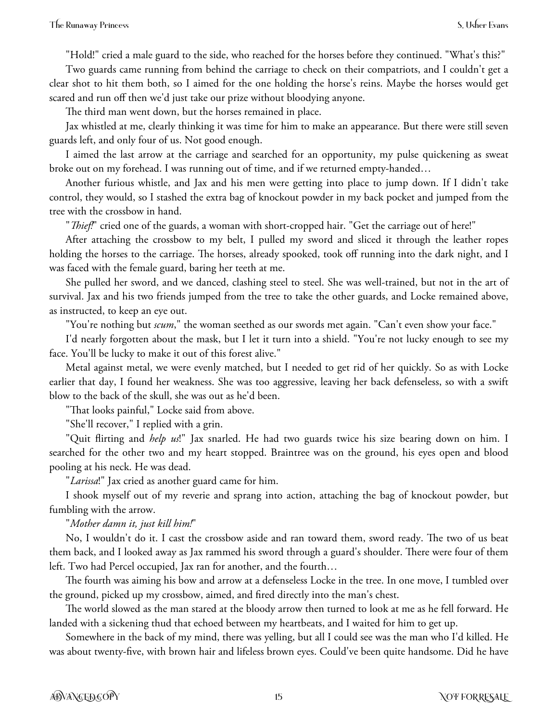"Hold!" cried a male guard to the side, who reached for the horses before they continued. "What's this?"

Two guards came running from behind the carriage to check on their compatriots, and I couldn't get a clear shot to hit them both, so I aimed for the one holding the horse's reins. Maybe the horses would get scared and run off then we'd just take our prize without bloodying anyone.

The third man went down, but the horses remained in place.

Jax whistled at me, clearly thinking it was time for him to make an appearance. But there were still seven guards left, and only four of us. Not good enough.

I aimed the last arrow at the carriage and searched for an opportunity, my pulse quickening as sweat broke out on my forehead. I was running out of time, and if we returned empty-handed…

Another furious whistle, and Jax and his men were getting into place to jump down. If I didn't take control, they would, so I stashed the extra bag of knockout powder in my back pocket and jumped from the tree with the crossbow in hand.

"*Tief!*" cried one of the guards, a woman with short-cropped hair. "Get the carriage out of here!"

After attaching the crossbow to my belt, I pulled my sword and sliced it through the leather ropes holding the horses to the carriage. The horses, already spooked, took off running into the dark night, and I was faced with the female guard, baring her teeth at me.

She pulled her sword, and we danced, clashing steel to steel. She was well-trained, but not in the art of survival. Jax and his two friends jumped from the tree to take the other guards, and Locke remained above, as instructed, to keep an eye out.

"You're nothing but *scum*," the woman seethed as our swords met again. "Can't even show your face."

I'd nearly forgotten about the mask, but I let it turn into a shield. "You're not lucky enough to see my face. You'll be lucky to make it out of this forest alive."

Metal against metal, we were evenly matched, but I needed to get rid of her quickly. So as with Locke earlier that day, I found her weakness. She was too aggressive, leaving her back defenseless, so with a swift blow to the back of the skull, she was out as he'd been.

"That looks painful," Locke said from above.

"She'll recover," I replied with a grin.

"Quit flirting and *help us*!" Jax snarled. He had two guards twice his size bearing down on him. I searched for the other two and my heart stopped. Braintree was on the ground, his eyes open and blood pooling at his neck. He was dead.

"*Larissa*!" Jax cried as another guard came for him.

I shook myself out of my reverie and sprang into action, attaching the bag of knockout powder, but fumbling with the arrow.

"*Mother damn it, just kill him!*"

No, I wouldn't do it. I cast the crossbow aside and ran toward them, sword ready. The two of us beat them back, and I looked away as Jax rammed his sword through a guard's shoulder. There were four of them left. Two had Percel occupied, Jax ran for another, and the fourth…

The fourth was aiming his bow and arrow at a defenseless Locke in the tree. In one move, I tumbled over the ground, picked up my crossbow, aimed, and fired directly into the man's chest.

The world slowed as the man stared at the bloody arrow then turned to look at me as he fell forward. He landed with a sickening thud that echoed between my heartbeats, and I waited for him to get up.

Somewhere in the back of my mind, there was yelling, but all I could see was the man who I'd killed. He was about twenty-five, with brown hair and lifeless brown eyes. Could've been quite handsome. Did he have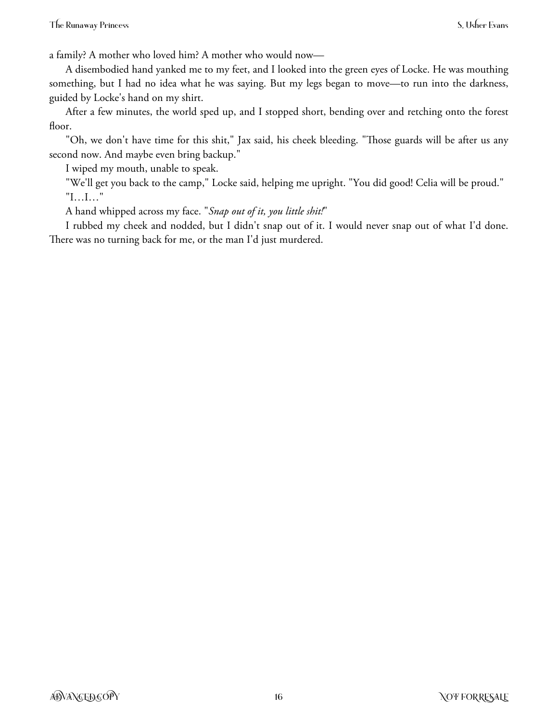a family? A mother who loved him? A mother who would now—

A disembodied hand yanked me to my feet, and I looked into the green eyes of Locke. He was mouthing something, but I had no idea what he was saying. But my legs began to move—to run into the darkness, guided by Locke's hand on my shirt.

After a few minutes, the world sped up, and I stopped short, bending over and retching onto the forest floor.

"Oh, we don't have time for this shit," Jax said, his cheek bleeding. "Those guards will be after us any second now. And maybe even bring backup."

I wiped my mouth, unable to speak.

"We'll get you back to the camp," Locke said, helping me upright. "You did good! Celia will be proud." "I…I…"

A hand whipped across my face. "*Snap out of it, you little shit!*"

I rubbed my cheek and nodded, but I didn't snap out of it. I would never snap out of what I'd done. There was no turning back for me, or the man I'd just murdered.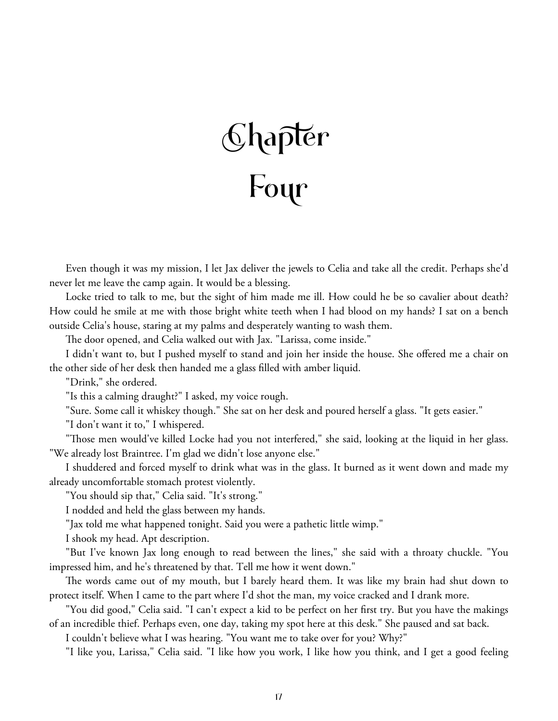## Chapter Four

Even though it was my mission, I let Jax deliver the jewels to Celia and take all the credit. Perhaps she'd never let me leave the camp again. It would be a blessing.

Locke tried to talk to me, but the sight of him made me ill. How could he be so cavalier about death? How could he smile at me with those bright white teeth when I had blood on my hands? I sat on a bench outside Celia's house, staring at my palms and desperately wanting to wash them.

The door opened, and Celia walked out with Jax. "Larissa, come inside."

I didn't want to, but I pushed myself to stand and join her inside the house. She offered me a chair on the other side of her desk then handed me a glass filled with amber liquid.

"Drink," she ordered.

"Is this a calming draught?" I asked, my voice rough.

"Sure. Some call it whiskey though." She sat on her desk and poured herself a glass. "It gets easier."

"I don't want it to," I whispered.

"Those men would've killed Locke had you not interfered," she said, looking at the liquid in her glass. "We already lost Braintree. I'm glad we didn't lose anyone else."

I shuddered and forced myself to drink what was in the glass. It burned as it went down and made my already uncomfortable stomach protest violently.

"You should sip that," Celia said. "It's strong."

I nodded and held the glass between my hands.

"Jax told me what happened tonight. Said you were a pathetic little wimp."

I shook my head. Apt description.

"But I've known Jax long enough to read between the lines," she said with a throaty chuckle. "You impressed him, and he's threatened by that. Tell me how it went down."

The words came out of my mouth, but I barely heard them. It was like my brain had shut down to protect itself. When I came to the part where I'd shot the man, my voice cracked and I drank more.

"You did good," Celia said. "I can't expect a kid to be perfect on her first try. But you have the makings of an incredible thief. Perhaps even, one day, taking my spot here at this desk." She paused and sat back.

I couldn't believe what I was hearing. "You want me to take over for you? Why?"

"I like you, Larissa," Celia said. "I like how you work, I like how you think, and I get a good feeling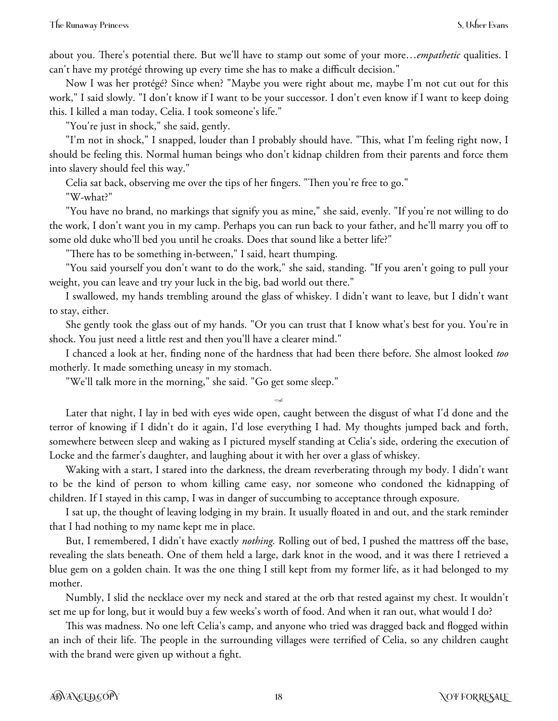about you. There's potential there. But we'll have to stamp out some of your more...*empathetic* qualities. I can't have my protégé throwing up every time she has to make a difficult decision."

Now I was her protégé? Since when? "Maybe you were right about me, maybe I'm not cut out for this work," I said slowly. "I don't know if I want to be your successor. I don't even know if I want to keep doing this. I killed a man today, Celia. I took someone's life."

"You're just in shock," she said, gently.

"I'm not in shock," I snapped, louder than I probably should have. "Tis, what I'm feeling right now, I should be feeling this. Normal human beings who don't kidnap children from their parents and force them into slavery should feel this way."

Celia sat back, observing me over the tips of her fingers. "Then you're free to go."

"W-what?"

"You have no brand, no markings that signify you as mine," she said, evenly. "If you're not willing to do the work, I don't want you in my camp. Perhaps you can run back to your father, and he'll marry you off to some old duke who'll bed you until he croaks. Does that sound like a better life?"

"There has to be something in-between," I said, heart thumping.

"You said yourself you don't want to do the work," she said, standing. "If you aren't going to pull your weight, you can leave and try your luck in the big, bad world out there."

I swallowed, my hands trembling around the glass of whiskey. I didn't want to leave, but I didn't want to stay, either.

She gently took the glass out of my hands. "Or you can trust that I know what's best for you. You're in shock. You just need a little rest and then you'll have a clearer mind."

I chanced a look at her, finding none of the hardness that had been there before. She almost looked *too* motherly. It made something uneasy in my stomach.

"We'll talk more in the morning," she said. "Go get some sleep."

 $\rightarrow$ Later that night, I lay in bed with eyes wide open, caught between the disgust of what I'd done and the terror of knowing if I didn't do it again, I'd lose everything I had. My thoughts jumped back and forth, somewhere between sleep and waking as I pictured myself standing at Celia's side, ordering the execution of Locke and the farmer's daughter, and laughing about it with her over a glass of whiskey.

Waking with a start, I stared into the darkness, the dream reverberating through my body. I didn't want to be the kind of person to whom killing came easy, nor someone who condoned the kidnapping of children. If I stayed in this camp, I was in danger of succumbing to acceptance through exposure.

I sat up, the thought of leaving lodging in my brain. It usually floated in and out, and the stark reminder that I had nothing to my name kept me in place.

But, I remembered, I didn't have exactly *nothing.* Rolling out of bed, I pushed the mattress off the base, revealing the slats beneath. One of them held a large, dark knot in the wood, and it was there I retrieved a blue gem on a golden chain. It was the one thing I still kept from my former life, as it had belonged to my mother.

Numbly, I slid the necklace over my neck and stared at the orb that rested against my chest. It wouldn't set me up for long, but it would buy a few weeks's worth of food. And when it ran out, what would I do?

Tis was madness. No one left Celia's camp, and anyone who tried was dragged back and flogged within an inch of their life. The people in the surrounding villages were terrified of Celia, so any children caught with the brand were given up without a fight.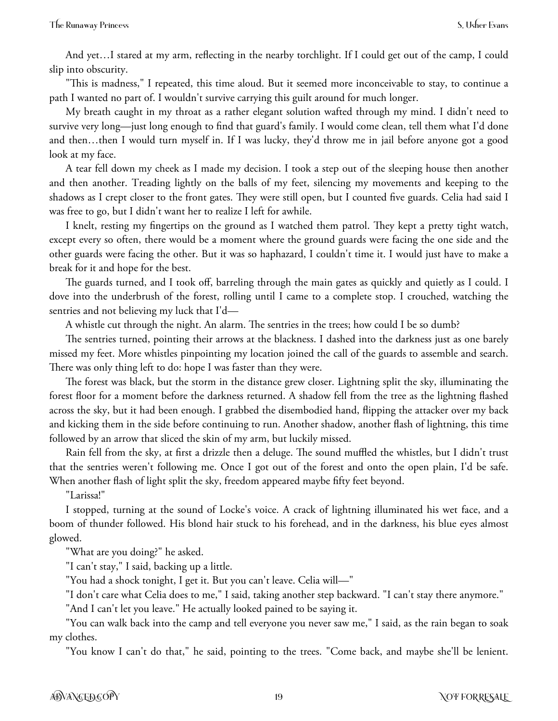And yet…I stared at my arm, reflecting in the nearby torchlight. If I could get out of the camp, I could slip into obscurity.

"This is madness," I repeated, this time aloud. But it seemed more inconceivable to stay, to continue a path I wanted no part of. I wouldn't survive carrying this guilt around for much longer.

My breath caught in my throat as a rather elegant solution wafted through my mind. I didn't need to survive very long—just long enough to find that guard's family. I would come clean, tell them what I'd done and then…then I would turn myself in. If I was lucky, they'd throw me in jail before anyone got a good look at my face.

A tear fell down my cheek as I made my decision. I took a step out of the sleeping house then another and then another. Treading lightly on the balls of my feet, silencing my movements and keeping to the shadows as I crept closer to the front gates. They were still open, but I counted five guards. Celia had said I was free to go, but I didn't want her to realize I left for awhile.

I knelt, resting my fingertips on the ground as I watched them patrol. They kept a pretty tight watch, except every so often, there would be a moment where the ground guards were facing the one side and the other guards were facing the other. But it was so haphazard, I couldn't time it. I would just have to make a break for it and hope for the best.

The guards turned, and I took off, barreling through the main gates as quickly and quietly as I could. I dove into the underbrush of the forest, rolling until I came to a complete stop. I crouched, watching the sentries and not believing my luck that I'd—

A whistle cut through the night. An alarm. The sentries in the trees; how could I be so dumb?

The sentries turned, pointing their arrows at the blackness. I dashed into the darkness just as one barely missed my feet. More whistles pinpointing my location joined the call of the guards to assemble and search. There was only thing left to do: hope I was faster than they were.

The forest was black, but the storm in the distance grew closer. Lightning split the sky, illuminating the forest floor for a moment before the darkness returned. A shadow fell from the tree as the lightning flashed across the sky, but it had been enough. I grabbed the disembodied hand, flipping the attacker over my back and kicking them in the side before continuing to run. Another shadow, another flash of lightning, this time followed by an arrow that sliced the skin of my arm, but luckily missed.

Rain fell from the sky, at first a drizzle then a deluge. The sound muffled the whistles, but I didn't trust that the sentries weren't following me. Once I got out of the forest and onto the open plain, I'd be safe. When another flash of light split the sky, freedom appeared maybe fifty feet beyond.

"Larissa!"

I stopped, turning at the sound of Locke's voice. A crack of lightning illuminated his wet face, and a boom of thunder followed. His blond hair stuck to his forehead, and in the darkness, his blue eyes almost glowed.

"What are you doing?" he asked.

"I can't stay," I said, backing up a little.

"You had a shock tonight, I get it. But you can't leave. Celia will—"

"I don't care what Celia does to me," I said, taking another step backward. "I can't stay there anymore."

"And I can't let you leave." He actually looked pained to be saying it.

"You can walk back into the camp and tell everyone you never saw me," I said, as the rain began to soak my clothes.

"You know I can't do that," he said, pointing to the trees. "Come back, and maybe she'll be lenient.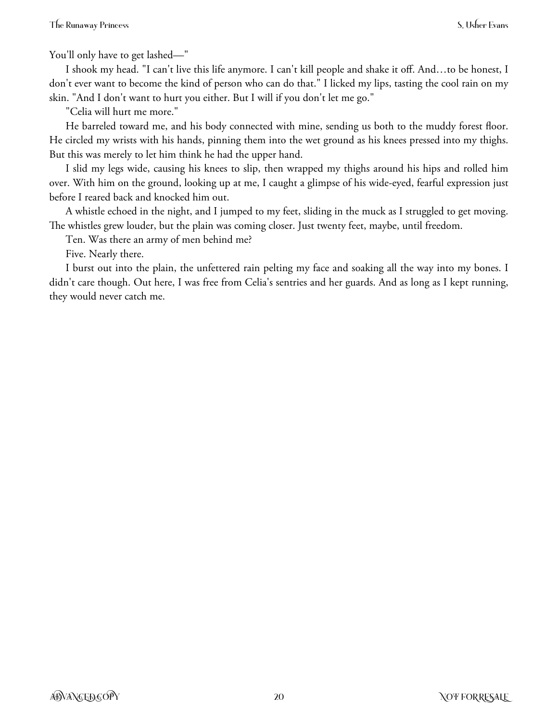You'll only have to get lashed—"

I shook my head. "I can't live this life anymore. I can't kill people and shake it off. And…to be honest, I don't ever want to become the kind of person who can do that." I licked my lips, tasting the cool rain on my skin. "And I don't want to hurt you either. But I will if you don't let me go."

"Celia will hurt me more."

He barreled toward me, and his body connected with mine, sending us both to the muddy forest floor. He circled my wrists with his hands, pinning them into the wet ground as his knees pressed into my thighs. But this was merely to let him think he had the upper hand.

I slid my legs wide, causing his knees to slip, then wrapped my thighs around his hips and rolled him over. With him on the ground, looking up at me, I caught a glimpse of his wide-eyed, fearful expression just before I reared back and knocked him out.

A whistle echoed in the night, and I jumped to my feet, sliding in the muck as I struggled to get moving. The whistles grew louder, but the plain was coming closer. Just twenty feet, maybe, until freedom.

Ten. Was there an army of men behind me?

Five. Nearly there.

I burst out into the plain, the unfettered rain pelting my face and soaking all the way into my bones. I didn't care though. Out here, I was free from Celia's sentries and her guards. And as long as I kept running, they would never catch me.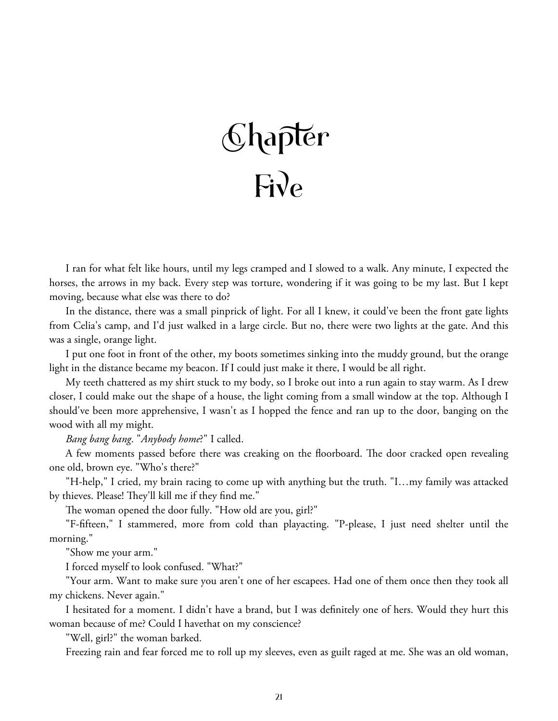## Chapter Five

I ran for what felt like hours, until my legs cramped and I slowed to a walk. Any minute, I expected the horses, the arrows in my back. Every step was torture, wondering if it was going to be my last. But I kept moving, because what else was there to do?

In the distance, there was a small pinprick of light. For all I knew, it could've been the front gate lights from Celia's camp, and I'd just walked in a large circle. But no, there were two lights at the gate. And this was a single, orange light.

I put one foot in front of the other, my boots sometimes sinking into the muddy ground, but the orange light in the distance became my beacon. If I could just make it there, I would be all right.

My teeth chattered as my shirt stuck to my body, so I broke out into a run again to stay warm. As I drew closer, I could make out the shape of a house, the light coming from a small window at the top. Although I should've been more apprehensive, I wasn't as I hopped the fence and ran up to the door, banging on the wood with all my might.

*Bang bang bang*. "*Anybody home*?" I called.

A few moments passed before there was creaking on the floorboard. The door cracked open revealing one old, brown eye. "Who's there?"

"H-help," I cried, my brain racing to come up with anything but the truth. "I…my family was attacked by thieves. Please! They'll kill me if they find me."

The woman opened the door fully. "How old are you, girl?"

"F-fifteen," I stammered, more from cold than playacting. "P-please, I just need shelter until the morning."

"Show me your arm."

I forced myself to look confused. "What?"

"Your arm. Want to make sure you aren't one of her escapees. Had one of them once then they took all my chickens. Never again."

I hesitated for a moment. I didn't have a brand, but I was definitely one of hers. Would they hurt this woman because of me? Could I havethat on my conscience?

"Well, girl?" the woman barked.

Freezing rain and fear forced me to roll up my sleeves, even as guilt raged at me. She was an old woman,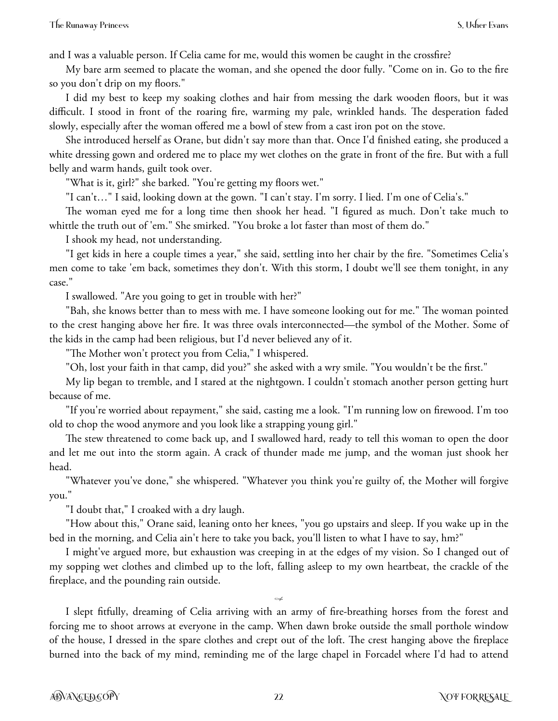and I was a valuable person. If Celia came for me, would this women be caught in the crossfire?

My bare arm seemed to placate the woman, and she opened the door fully. "Come on in. Go to the fire so you don't drip on my floors."

I did my best to keep my soaking clothes and hair from messing the dark wooden floors, but it was difficult. I stood in front of the roaring fire, warming my pale, wrinkled hands. The desperation faded slowly, especially after the woman offered me a bowl of stew from a cast iron pot on the stove.

She introduced herself as Orane, but didn't say more than that. Once I'd finished eating, she produced a white dressing gown and ordered me to place my wet clothes on the grate in front of the fire. But with a full belly and warm hands, guilt took over.

"What is it, girl?" she barked. "You're getting my floors wet."

"I can't…" I said, looking down at the gown. "I can't stay. I'm sorry. I lied. I'm one of Celia's."

The woman eyed me for a long time then shook her head. "I figured as much. Don't take much to whittle the truth out of 'em." She smirked. "You broke a lot faster than most of them do."

I shook my head, not understanding.

"I get kids in here a couple times a year," she said, settling into her chair by the fire. "Sometimes Celia's men come to take 'em back, sometimes they don't. With this storm, I doubt we'll see them tonight, in any case."

I swallowed. "Are you going to get in trouble with her?"

"Bah, she knows better than to mess with me. I have someone looking out for me." The woman pointed to the crest hanging above her fire. It was three ovals interconnected—the symbol of the Mother. Some of the kids in the camp had been religious, but I'd never believed any of it.

"The Mother won't protect you from Celia," I whispered.

"Oh, lost your faith in that camp, did you?" she asked with a wry smile. "You wouldn't be the first."

My lip began to tremble, and I stared at the nightgown. I couldn't stomach another person getting hurt because of me.

"If you're worried about repayment," she said, casting me a look. "I'm running low on firewood. I'm too old to chop the wood anymore and you look like a strapping young girl."

The stew threatened to come back up, and I swallowed hard, ready to tell this woman to open the door and let me out into the storm again. A crack of thunder made me jump, and the woman just shook her head.

"Whatever you've done," she whispered. "Whatever you think you're guilty of, the Mother will forgive you."

"I doubt that," I croaked with a dry laugh.

"How about this," Orane said, leaning onto her knees, "you go upstairs and sleep. If you wake up in the bed in the morning, and Celia ain't here to take you back, you'll listen to what I have to say, hm?"

I might've argued more, but exhaustion was creeping in at the edges of my vision. So I changed out of my sopping wet clothes and climbed up to the loft, falling asleep to my own heartbeat, the crackle of the fireplace, and the pounding rain outside.

 $\rightarrow$ I slept fitfully, dreaming of Celia arriving with an army of fire-breathing horses from the forest and forcing me to shoot arrows at everyone in the camp. When dawn broke outside the small porthole window of the house, I dressed in the spare clothes and crept out of the loft. The crest hanging above the fireplace burned into the back of my mind, reminding me of the large chapel in Forcadel where I'd had to attend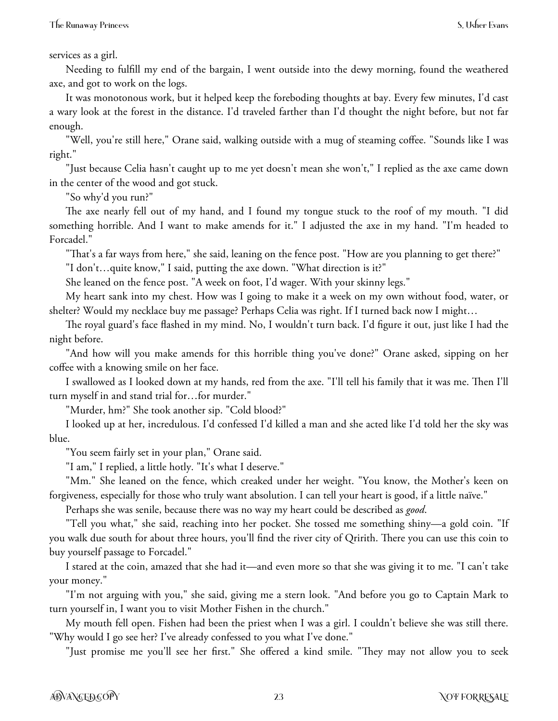services as a girl.

Needing to fulfill my end of the bargain, I went outside into the dewy morning, found the weathered axe, and got to work on the logs.

It was monotonous work, but it helped keep the foreboding thoughts at bay. Every few minutes, I'd cast a wary look at the forest in the distance. I'd traveled farther than I'd thought the night before, but not far enough.

"Well, you're still here," Orane said, walking outside with a mug of steaming coffee. "Sounds like I was right."

"Just because Celia hasn't caught up to me yet doesn't mean she won't," I replied as the axe came down in the center of the wood and got stuck.

"So why'd you run?"

The axe nearly fell out of my hand, and I found my tongue stuck to the roof of my mouth. "I did something horrible. And I want to make amends for it." I adjusted the axe in my hand. "I'm headed to Forcadel."

"That's a far ways from here," she said, leaning on the fence post. "How are you planning to get there?"

"I don't…quite know," I said, putting the axe down. "What direction is it?"

She leaned on the fence post. "A week on foot, I'd wager. With your skinny legs."

My heart sank into my chest. How was I going to make it a week on my own without food, water, or shelter? Would my necklace buy me passage? Perhaps Celia was right. If I turned back now I might…

The royal guard's face flashed in my mind. No, I wouldn't turn back. I'd figure it out, just like I had the night before.

"And how will you make amends for this horrible thing you've done?" Orane asked, sipping on her coffee with a knowing smile on her face.

I swallowed as I looked down at my hands, red from the axe. "I'll tell his family that it was me. Ten I'll turn myself in and stand trial for…for murder."

"Murder, hm?" She took another sip. "Cold blood?"

I looked up at her, incredulous. I'd confessed I'd killed a man and she acted like I'd told her the sky was blue.

"You seem fairly set in your plan," Orane said.

"I am," I replied, a little hotly. "It's what I deserve."

"Mm." She leaned on the fence, which creaked under her weight. "You know, the Mother's keen on forgiveness, especially for those who truly want absolution. I can tell your heart is good, if a little naïve."

Perhaps she was senile, because there was no way my heart could be described as *good*.

"Tell you what," she said, reaching into her pocket. She tossed me something shiny—a gold coin. "If you walk due south for about three hours, you'll find the river city of Qririth. There you can use this coin to buy yourself passage to Forcadel."

I stared at the coin, amazed that she had it—and even more so that she was giving it to me. "I can't take your money."

"I'm not arguing with you," she said, giving me a stern look. "And before you go to Captain Mark to turn yourself in, I want you to visit Mother Fishen in the church."

My mouth fell open. Fishen had been the priest when I was a girl. I couldn't believe she was still there. "Why would I go see her? I've already confessed to you what I've done."

"Just promise me you'll see her first." She offered a kind smile. "They may not allow you to seek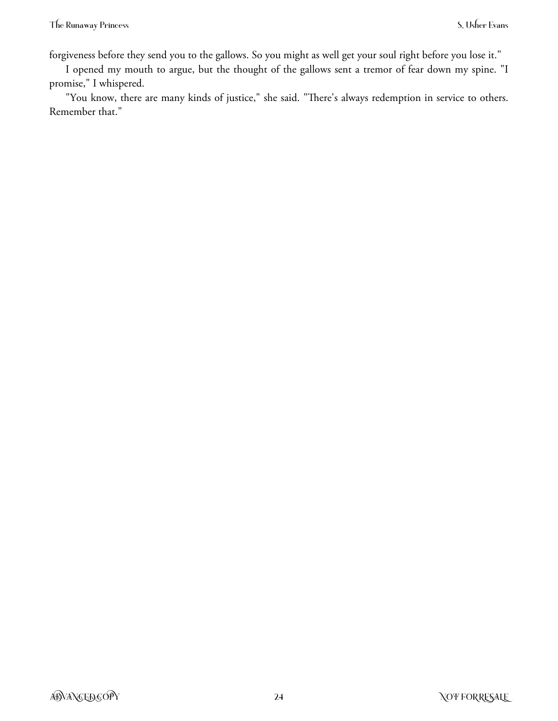forgiveness before they send you to the gallows. So you might as well get your soul right before you lose it."

I opened my mouth to argue, but the thought of the gallows sent a tremor of fear down my spine. "I promise," I whispered.

"You know, there are many kinds of justice," she said. "There's always redemption in service to others. Remember that."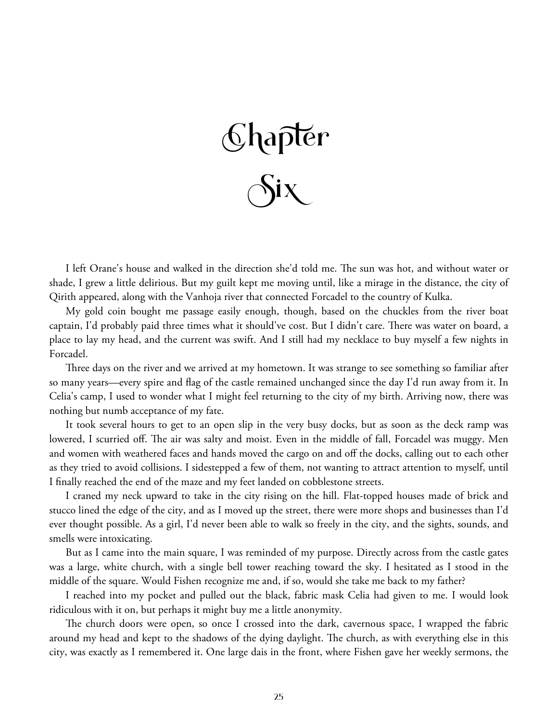# Chapter Six

I left Orane's house and walked in the direction she'd told me. The sun was hot, and without water or shade, I grew a little delirious. But my guilt kept me moving until, like a mirage in the distance, the city of Qirith appeared, along with the Vanhoja river that connected Forcadel to the country of Kulka.

My gold coin bought me passage easily enough, though, based on the chuckles from the river boat captain, I'd probably paid three times what it should've cost. But I didn't care. There was water on board, a place to lay my head, and the current was swift. And I still had my necklace to buy myself a few nights in Forcadel.

Three days on the river and we arrived at my hometown. It was strange to see something so familiar after so many years—every spire and flag of the castle remained unchanged since the day I'd run away from it. In Celia's camp, I used to wonder what I might feel returning to the city of my birth. Arriving now, there was nothing but numb acceptance of my fate.

It took several hours to get to an open slip in the very busy docks, but as soon as the deck ramp was lowered, I scurried off. The air was salty and moist. Even in the middle of fall, Forcadel was muggy. Men and women with weathered faces and hands moved the cargo on and off the docks, calling out to each other as they tried to avoid collisions. I sidestepped a few of them, not wanting to attract attention to myself, until I finally reached the end of the maze and my feet landed on cobblestone streets.

I craned my neck upward to take in the city rising on the hill. Flat-topped houses made of brick and stucco lined the edge of the city, and as I moved up the street, there were more shops and businesses than I'd ever thought possible. As a girl, I'd never been able to walk so freely in the city, and the sights, sounds, and smells were intoxicating.

But as I came into the main square, I was reminded of my purpose. Directly across from the castle gates was a large, white church, with a single bell tower reaching toward the sky. I hesitated as I stood in the middle of the square. Would Fishen recognize me and, if so, would she take me back to my father?

I reached into my pocket and pulled out the black, fabric mask Celia had given to me. I would look ridiculous with it on, but perhaps it might buy me a little anonymity.

The church doors were open, so once I crossed into the dark, cavernous space, I wrapped the fabric around my head and kept to the shadows of the dying daylight. The church, as with everything else in this city, was exactly as I remembered it. One large dais in the front, where Fishen gave her weekly sermons, the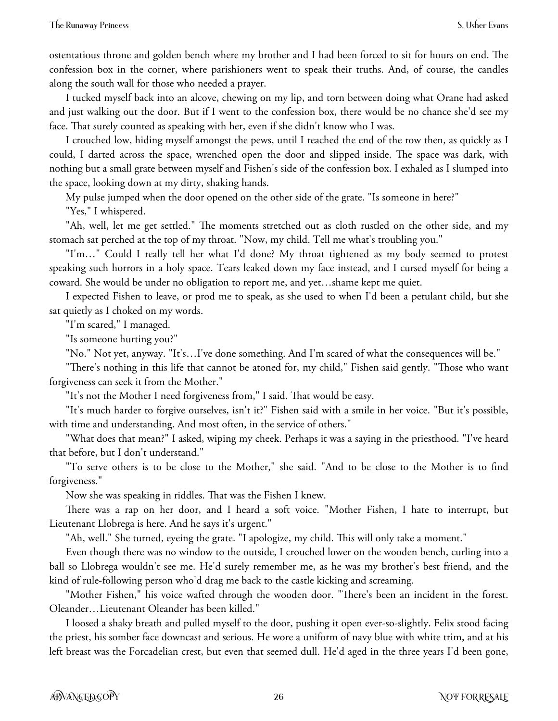ostentatious throne and golden bench where my brother and I had been forced to sit for hours on end. The confession box in the corner, where parishioners went to speak their truths. And, of course, the candles along the south wall for those who needed a prayer.

I tucked myself back into an alcove, chewing on my lip, and torn between doing what Orane had asked and just walking out the door. But if I went to the confession box, there would be no chance she'd see my face. That surely counted as speaking with her, even if she didn't know who I was.

I crouched low, hiding myself amongst the pews, until I reached the end of the row then, as quickly as I could, I darted across the space, wrenched open the door and slipped inside. The space was dark, with nothing but a small grate between myself and Fishen's side of the confession box. I exhaled as I slumped into the space, looking down at my dirty, shaking hands.

My pulse jumped when the door opened on the other side of the grate. "Is someone in here?"

"Yes," I whispered.

"Ah, well, let me get settled." The moments stretched out as cloth rustled on the other side, and my stomach sat perched at the top of my throat. "Now, my child. Tell me what's troubling you."

"I'm…" Could I really tell her what I'd done? My throat tightened as my body seemed to protest speaking such horrors in a holy space. Tears leaked down my face instead, and I cursed myself for being a coward. She would be under no obligation to report me, and yet…shame kept me quiet.

I expected Fishen to leave, or prod me to speak, as she used to when I'd been a petulant child, but she sat quietly as I choked on my words.

"I'm scared," I managed.

"Is someone hurting you?"

"No." Not yet, anyway. "It's…I've done something. And I'm scared of what the consequences will be."

"There's nothing in this life that cannot be atoned for, my child," Fishen said gently. "Those who want forgiveness can seek it from the Mother."

"It's not the Mother I need forgiveness from," I said. That would be easy.

"It's much harder to forgive ourselves, isn't it?" Fishen said with a smile in her voice. "But it's possible, with time and understanding. And most often, in the service of others."

"What does that mean?" I asked, wiping my cheek. Perhaps it was a saying in the priesthood. "I've heard that before, but I don't understand."

"To serve others is to be close to the Mother," she said. "And to be close to the Mother is to find forgiveness."

Now she was speaking in riddles. That was the Fishen I knew.

There was a rap on her door, and I heard a soft voice. "Mother Fishen, I hate to interrupt, but Lieutenant Llobrega is here. And he says it's urgent."

"Ah, well." She turned, eyeing the grate. "I apologize, my child. This will only take a moment."

Even though there was no window to the outside, I crouched lower on the wooden bench, curling into a ball so Llobrega wouldn't see me. He'd surely remember me, as he was my brother's best friend, and the kind of rule-following person who'd drag me back to the castle kicking and screaming.

"Mother Fishen," his voice wafted through the wooden door. "There's been an incident in the forest. Oleander…Lieutenant Oleander has been killed."

I loosed a shaky breath and pulled myself to the door, pushing it open ever-so-slightly. Felix stood facing the priest, his somber face downcast and serious. He wore a uniform of navy blue with white trim, and at his left breast was the Forcadelian crest, but even that seemed dull. He'd aged in the three years I'd been gone,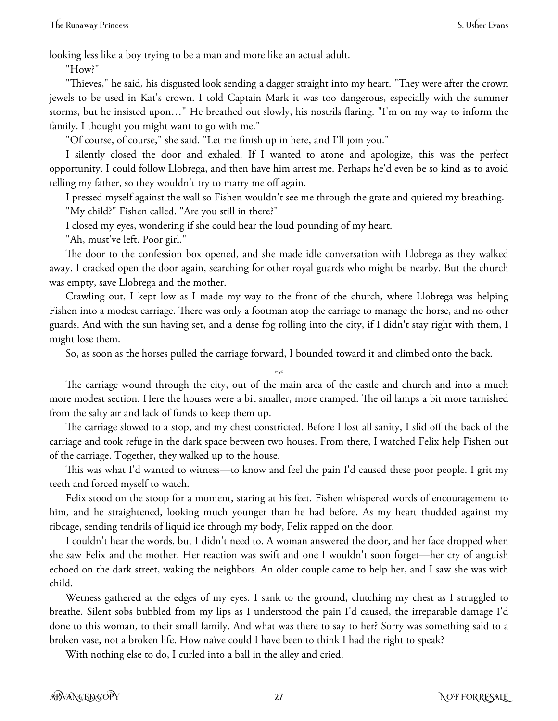looking less like a boy trying to be a man and more like an actual adult.

"How?"

"Thieves," he said, his disgusted look sending a dagger straight into my heart. "They were after the crown jewels to be used in Kat's crown. I told Captain Mark it was too dangerous, especially with the summer storms, but he insisted upon…" He breathed out slowly, his nostrils flaring. "I'm on my way to inform the family. I thought you might want to go with me."

"Of course, of course," she said. "Let me finish up in here, and I'll join you."

I silently closed the door and exhaled. If I wanted to atone and apologize, this was the perfect opportunity. I could follow Llobrega, and then have him arrest me. Perhaps he'd even be so kind as to avoid telling my father, so they wouldn't try to marry me off again.

I pressed myself against the wall so Fishen wouldn't see me through the grate and quieted my breathing.

"My child?" Fishen called. "Are you still in there?"

I closed my eyes, wondering if she could hear the loud pounding of my heart.

"Ah, must've left. Poor girl."

The door to the confession box opened, and she made idle conversation with Llobrega as they walked away. I cracked open the door again, searching for other royal guards who might be nearby. But the church was empty, save Llobrega and the mother.

Crawling out, I kept low as I made my way to the front of the church, where Llobrega was helping Fishen into a modest carriage. There was only a footman atop the carriage to manage the horse, and no other guards. And with the sun having set, and a dense fog rolling into the city, if I didn't stay right with them, I might lose them.

So, as soon as the horses pulled the carriage forward, I bounded toward it and climbed onto the back.

 $\rightarrow$ The carriage wound through the city, out of the main area of the castle and church and into a much more modest section. Here the houses were a bit smaller, more cramped. The oil lamps a bit more tarnished from the salty air and lack of funds to keep them up.

The carriage slowed to a stop, and my chest constricted. Before I lost all sanity, I slid off the back of the carriage and took refuge in the dark space between two houses. From there, I watched Felix help Fishen out of the carriage. Together, they walked up to the house.

This was what I'd wanted to witness—to know and feel the pain I'd caused these poor people. I grit my teeth and forced myself to watch.

Felix stood on the stoop for a moment, staring at his feet. Fishen whispered words of encouragement to him, and he straightened, looking much younger than he had before. As my heart thudded against my ribcage, sending tendrils of liquid ice through my body, Felix rapped on the door.

I couldn't hear the words, but I didn't need to. A woman answered the door, and her face dropped when she saw Felix and the mother. Her reaction was swift and one I wouldn't soon forget—her cry of anguish echoed on the dark street, waking the neighbors. An older couple came to help her, and I saw she was with child.

Wetness gathered at the edges of my eyes. I sank to the ground, clutching my chest as I struggled to breathe. Silent sobs bubbled from my lips as I understood the pain I'd caused, the irreparable damage I'd done to this woman, to their small family. And what was there to say to her? Sorry was something said to a broken vase, not a broken life. How naïve could I have been to think I had the right to speak?

With nothing else to do, I curled into a ball in the alley and cried.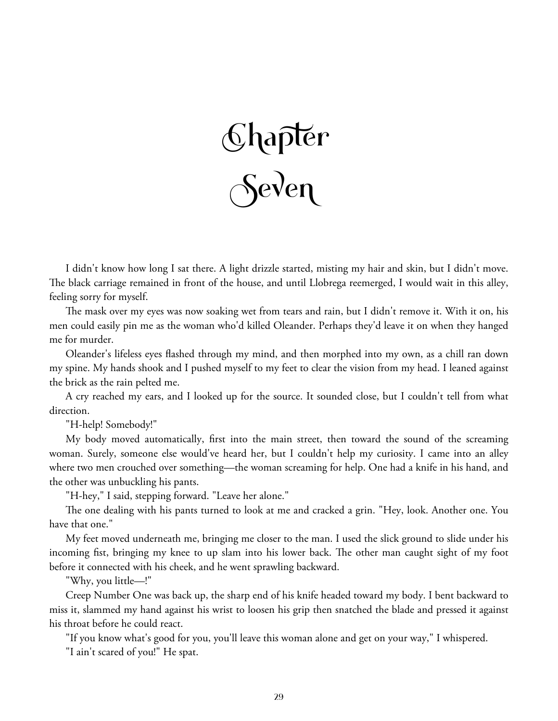Chapter Seven

I didn't know how long I sat there. A light drizzle started, misting my hair and skin, but I didn't move. The black carriage remained in front of the house, and until Llobrega reemerged, I would wait in this alley, feeling sorry for myself.

The mask over my eyes was now soaking wet from tears and rain, but I didn't remove it. With it on, his men could easily pin me as the woman who'd killed Oleander. Perhaps they'd leave it on when they hanged me for murder.

Oleander's lifeless eyes flashed through my mind, and then morphed into my own, as a chill ran down my spine. My hands shook and I pushed myself to my feet to clear the vision from my head. I leaned against the brick as the rain pelted me.

A cry reached my ears, and I looked up for the source. It sounded close, but I couldn't tell from what direction.

"H-help! Somebody!"

My body moved automatically, first into the main street, then toward the sound of the screaming woman. Surely, someone else would've heard her, but I couldn't help my curiosity. I came into an alley where two men crouched over something—the woman screaming for help. One had a knife in his hand, and the other was unbuckling his pants.

"H-hey," I said, stepping forward. "Leave her alone."

The one dealing with his pants turned to look at me and cracked a grin. "Hey, look. Another one. You have that one."

My feet moved underneath me, bringing me closer to the man. I used the slick ground to slide under his incoming fist, bringing my knee to up slam into his lower back. The other man caught sight of my foot before it connected with his cheek, and he went sprawling backward.

"Why, you little—!"

Creep Number One was back up, the sharp end of his knife headed toward my body. I bent backward to miss it, slammed my hand against his wrist to loosen his grip then snatched the blade and pressed it against his throat before he could react.

"If you know what's good for you, you'll leave this woman alone and get on your way," I whispered.

"I ain't scared of you!" He spat.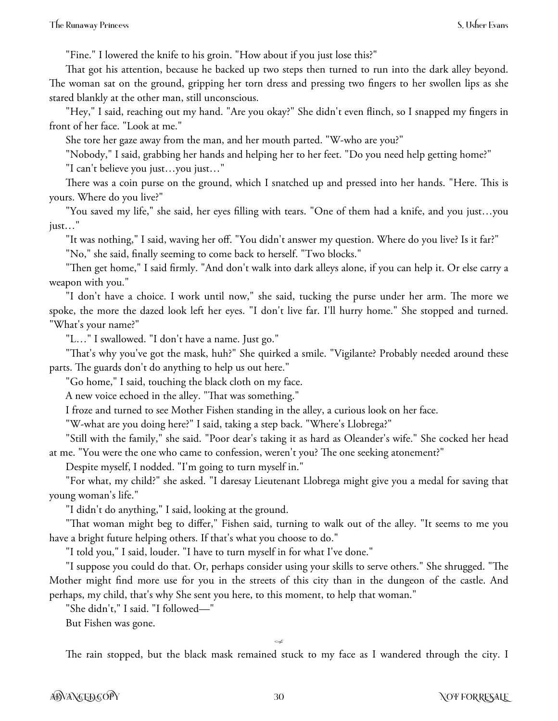"Fine." I lowered the knife to his groin. "How about if you just lose this?"

That got his attention, because he backed up two steps then turned to run into the dark alley beyond. The woman sat on the ground, gripping her torn dress and pressing two fingers to her swollen lips as she stared blankly at the other man, still unconscious.

"Hey," I said, reaching out my hand. "Are you okay?" She didn't even flinch, so I snapped my fingers in front of her face. "Look at me."

She tore her gaze away from the man, and her mouth parted. "W-who are you?"

"Nobody," I said, grabbing her hands and helping her to her feet. "Do you need help getting home?"

"I can't believe you just…you just…"

There was a coin purse on the ground, which I snatched up and pressed into her hands. "Here. This is yours. Where do you live?"

"You saved my life," she said, her eyes filling with tears. "One of them had a knife, and you just…you just…"

"It was nothing," I said, waving her off. "You didn't answer my question. Where do you live? Is it far?"

"No," she said, finally seeming to come back to herself. "Two blocks."

"Then get home," I said firmly. "And don't walk into dark alleys alone, if you can help it. Or else carry a weapon with you."

"I don't have a choice. I work until now," she said, tucking the purse under her arm. The more we spoke, the more the dazed look left her eyes. "I don't live far. I'll hurry home." She stopped and turned. "What's your name?"

"L…" I swallowed. "I don't have a name. Just go."

"That's why you've got the mask, huh?" She quirked a smile. "Vigilante? Probably needed around these parts. The guards don't do anything to help us out here."

"Go home," I said, touching the black cloth on my face.

A new voice echoed in the alley. "That was something."

I froze and turned to see Mother Fishen standing in the alley, a curious look on her face.

"W-what are you doing here?" I said, taking a step back. "Where's Llobrega?"

"Still with the family," she said. "Poor dear's taking it as hard as Oleander's wife." She cocked her head at me. "You were the one who came to confession, weren't you? The one seeking atonement?"

Despite myself, I nodded. "I'm going to turn myself in."

"For what, my child?" she asked. "I daresay Lieutenant Llobrega might give you a medal for saving that young woman's life."

"I didn't do anything," I said, looking at the ground.

"That woman might beg to differ," Fishen said, turning to walk out of the alley. "It seems to me you have a bright future helping others. If that's what you choose to do."

"I told you," I said, louder. "I have to turn myself in for what I've done."

"I suppose you could do that. Or, perhaps consider using your skills to serve others." She shrugged. "The Mother might find more use for you in the streets of this city than in the dungeon of the castle. And perhaps, my child, that's why She sent you here, to this moment, to help that woman."

"She didn't," I said. "I followed—"

But Fishen was gone.

 $\rightarrow$ 

The rain stopped, but the black mask remained stuck to my face as I wandered through the city. I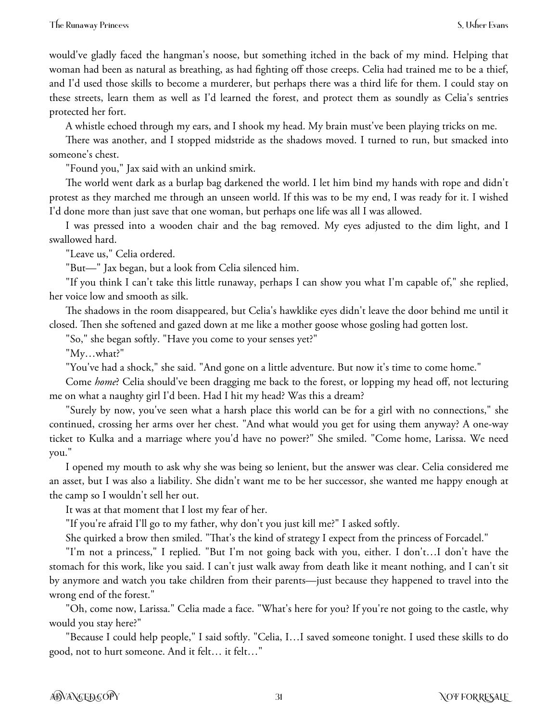would've gladly faced the hangman's noose, but something itched in the back of my mind. Helping that woman had been as natural as breathing, as had fighting off those creeps. Celia had trained me to be a thief, and I'd used those skills to become a murderer, but perhaps there was a third life for them. I could stay on these streets, learn them as well as I'd learned the forest, and protect them as soundly as Celia's sentries protected her fort.

A whistle echoed through my ears, and I shook my head. My brain must've been playing tricks on me.

There was another, and I stopped midstride as the shadows moved. I turned to run, but smacked into someone's chest.

"Found you," Jax said with an unkind smirk.

The world went dark as a burlap bag darkened the world. I let him bind my hands with rope and didn't protest as they marched me through an unseen world. If this was to be my end, I was ready for it. I wished I'd done more than just save that one woman, but perhaps one life was all I was allowed.

I was pressed into a wooden chair and the bag removed. My eyes adjusted to the dim light, and I swallowed hard.

"Leave us," Celia ordered.

"But—" Jax began, but a look from Celia silenced him.

"If you think I can't take this little runaway, perhaps I can show you what I'm capable of," she replied, her voice low and smooth as silk.

The shadows in the room disappeared, but Celia's hawklike eyes didn't leave the door behind me until it closed. Then she softened and gazed down at me like a mother goose whose gosling had gotten lost.

"So," she began softly. "Have you come to your senses yet?"

"My…what?"

"You've had a shock," she said. "And gone on a little adventure. But now it's time to come home."

Come *home*? Celia should've been dragging me back to the forest, or lopping my head off, not lecturing me on what a naughty girl I'd been. Had I hit my head? Was this a dream?

"Surely by now, you've seen what a harsh place this world can be for a girl with no connections," she continued, crossing her arms over her chest. "And what would you get for using them anyway? A one-way ticket to Kulka and a marriage where you'd have no power?" She smiled. "Come home, Larissa. We need you."

I opened my mouth to ask why she was being so lenient, but the answer was clear. Celia considered me an asset, but I was also a liability. She didn't want me to be her successor, she wanted me happy enough at the camp so I wouldn't sell her out.

It was at that moment that I lost my fear of her.

"If you're afraid I'll go to my father, why don't you just kill me?" I asked softly.

She quirked a brow then smiled. "That's the kind of strategy I expect from the princess of Forcadel."

"I'm not a princess," I replied. "But I'm not going back with you, either. I don't…I don't have the stomach for this work, like you said. I can't just walk away from death like it meant nothing, and I can't sit by anymore and watch you take children from their parents—just because they happened to travel into the wrong end of the forest."

"Oh, come now, Larissa." Celia made a face. "What's here for you? If you're not going to the castle, why would you stay here?"

"Because I could help people," I said softly. "Celia, I…I saved someone tonight. I used these skills to do good, not to hurt someone. And it felt… it felt…"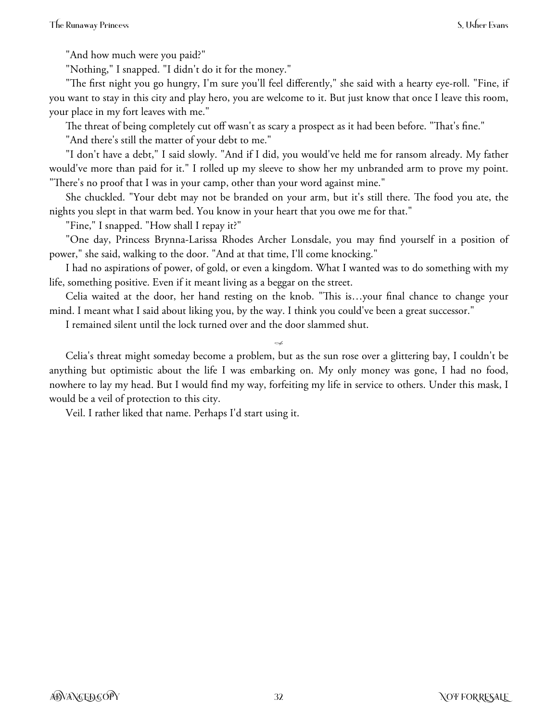"And how much were you paid?"

"Nothing," I snapped. "I didn't do it for the money."

"The first night you go hungry, I'm sure you'll feel differently," she said with a hearty eye-roll. "Fine, if you want to stay in this city and play hero, you are welcome to it. But just know that once I leave this room, your place in my fort leaves with me."

The threat of being completely cut off wasn't as scary a prospect as it had been before. "That's fine."

"And there's still the matter of your debt to me."

"I don't have a debt," I said slowly. "And if I did, you would've held me for ransom already. My father would've more than paid for it." I rolled up my sleeve to show her my unbranded arm to prove my point. "There's no proof that I was in your camp, other than your word against mine."

She chuckled. "Your debt may not be branded on your arm, but it's still there. The food you ate, the nights you slept in that warm bed. You know in your heart that you owe me for that."

"Fine," I snapped. "How shall I repay it?"

"One day, Princess Brynna-Larissa Rhodes Archer Lonsdale, you may find yourself in a position of power," she said, walking to the door. "And at that time, I'll come knocking."

I had no aspirations of power, of gold, or even a kingdom. What I wanted was to do something with my life, something positive. Even if it meant living as a beggar on the street.

Celia waited at the door, her hand resting on the knob. "Tis is…your final chance to change your mind. I meant what I said about liking you, by the way. I think you could've been a great successor."

I remained silent until the lock turned over and the door slammed shut.

 $\rightarrow$ 

Celia's threat might someday become a problem, but as the sun rose over a glittering bay, I couldn't be anything but optimistic about the life I was embarking on. My only money was gone, I had no food, nowhere to lay my head. But I would find my way, forfeiting my life in service to others. Under this mask, I would be a veil of protection to this city.

Veil. I rather liked that name. Perhaps I'd start using it.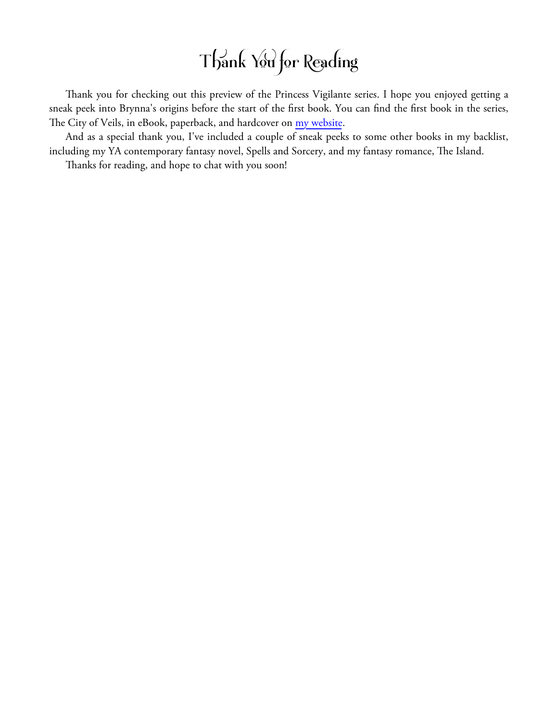### Thank You for Reading

Tank you for checking out this preview of the Princess Vigilante series. I hope you enjoyed getting a sneak peek into Brynna's origins before the start of the first book. You can find the first book in the series, The City of Veils, in eBook, paperback, and hardcover on [my website.](https://susherevans.com/book/pv-city)

And as a special thank you, I've included a couple of sneak peeks to some other books in my backlist, including my YA contemporary fantasy novel, Spells and Sorcery, and my fantasy romance, The Island.

Thanks for reading, and hope to chat with you soon!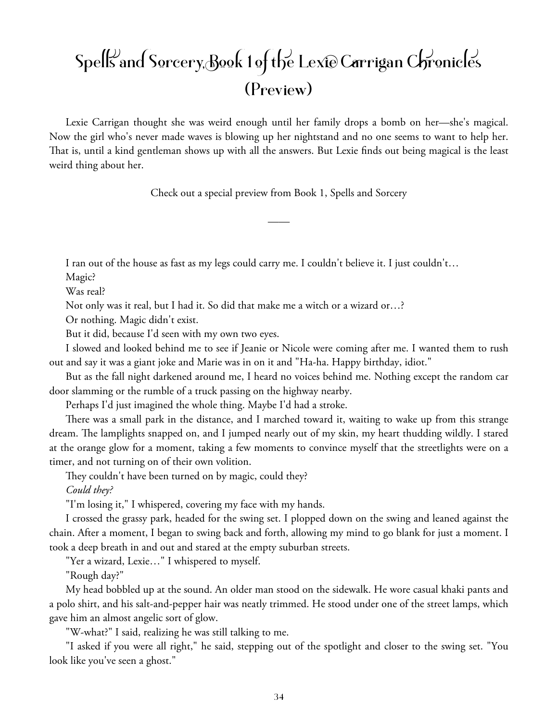### Spells and Sorcery, Book 1 of the Lexie Carrigan Chronicles (Preview)

Lexie Carrigan thought she was weird enough until her family drops a bomb on her—she's magical. Now the girl who's never made waves is blowing up her nightstand and no one seems to want to help her. Tat is, until a kind gentleman shows up with all the answers. But Lexie finds out being magical is the least weird thing about her.

Check out a special preview from Book 1, Spells and Sorcery

——

I ran out of the house as fast as my legs could carry me. I couldn't believe it. I just couldn't…

Magic?

Was real?

Not only was it real, but I had it. So did that make me a witch or a wizard or…?

Or nothing. Magic didn't exist.

But it did, because I'd seen with my own two eyes.

I slowed and looked behind me to see if Jeanie or Nicole were coming after me. I wanted them to rush out and say it was a giant joke and Marie was in on it and "Ha-ha. Happy birthday, idiot."

But as the fall night darkened around me, I heard no voices behind me. Nothing except the random car door slamming or the rumble of a truck passing on the highway nearby.

Perhaps I'd just imagined the whole thing. Maybe I'd had a stroke.

There was a small park in the distance, and I marched toward it, waiting to wake up from this strange dream. The lamplights snapped on, and I jumped nearly out of my skin, my heart thudding wildly. I stared at the orange glow for a moment, taking a few moments to convince myself that the streetlights were on a timer, and not turning on of their own volition.

They couldn't have been turned on by magic, could they?

*Could they?*

"I'm losing it," I whispered, covering my face with my hands.

I crossed the grassy park, headed for the swing set. I plopped down on the swing and leaned against the chain. After a moment, I began to swing back and forth, allowing my mind to go blank for just a moment. I took a deep breath in and out and stared at the empty suburban streets.

"Yer a wizard, Lexie…" I whispered to myself.

"Rough day?"

My head bobbled up at the sound. An older man stood on the sidewalk. He wore casual khaki pants and a polo shirt, and his salt-and-pepper hair was neatly trimmed. He stood under one of the street lamps, which gave him an almost angelic sort of glow.

"W-what?" I said, realizing he was still talking to me.

"I asked if you were all right," he said, stepping out of the spotlight and closer to the swing set. "You look like you've seen a ghost."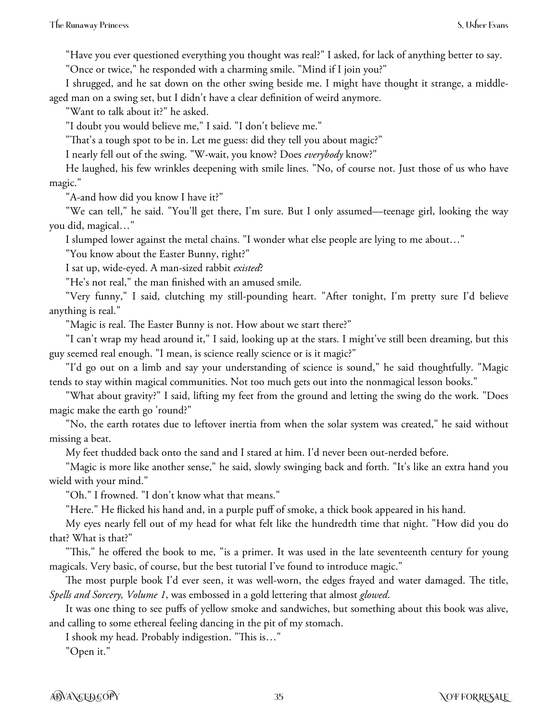"Have you ever questioned everything you thought was real?" I asked, for lack of anything better to say.

"Once or twice," he responded with a charming smile. "Mind if I join you?"

I shrugged, and he sat down on the other swing beside me. I might have thought it strange, a middleaged man on a swing set, but I didn't have a clear definition of weird anymore.

"Want to talk about it?" he asked.

"I doubt you would believe me," I said. "I don't believe me."

"That's a tough spot to be in. Let me guess: did they tell you about magic?"

I nearly fell out of the swing. "W-wait, you know? Does *everybody* know?"

He laughed, his few wrinkles deepening with smile lines. "No, of course not. Just those of us who have magic."

"A-and how did you know I have it?"

"We can tell," he said. "You'll get there, I'm sure. But I only assumed—teenage girl, looking the way you did, magical…"

I slumped lower against the metal chains. "I wonder what else people are lying to me about…"

"You know about the Easter Bunny, right?"

I sat up, wide-eyed. A man-sized rabbit *existed*?

"He's not real," the man finished with an amused smile.

"Very funny," I said, clutching my still-pounding heart. "After tonight, I'm pretty sure I'd believe anything is real."

"Magic is real. The Easter Bunny is not. How about we start there?"

"I can't wrap my head around it," I said, looking up at the stars. I might've still been dreaming, but this guy seemed real enough. "I mean, is science really science or is it magic?"

"I'd go out on a limb and say your understanding of science is sound," he said thoughtfully. "Magic tends to stay within magical communities. Not too much gets out into the nonmagical lesson books."

"What about gravity?" I said, lifting my feet from the ground and letting the swing do the work. "Does magic make the earth go 'round?"

"No, the earth rotates due to leftover inertia from when the solar system was created," he said without missing a beat.

My feet thudded back onto the sand and I stared at him. I'd never been out-nerded before.

"Magic is more like another sense," he said, slowly swinging back and forth. "It's like an extra hand you wield with your mind."

"Oh." I frowned. "I don't know what that means."

"Here." He flicked his hand and, in a purple puff of smoke, a thick book appeared in his hand.

My eyes nearly fell out of my head for what felt like the hundredth time that night. "How did you do that? What is that?"

"This," he offered the book to me, "is a primer. It was used in the late seventeenth century for young magicals. Very basic, of course, but the best tutorial I've found to introduce magic."

The most purple book I'd ever seen, it was well-worn, the edges frayed and water damaged. The title, *Spells and Sorcery, Volume 1*, was embossed in a gold lettering that almost *glowed*.

It was one thing to see puffs of yellow smoke and sandwiches, but something about this book was alive, and calling to some ethereal feeling dancing in the pit of my stomach.

I shook my head. Probably indigestion. "This is..."

"Open it."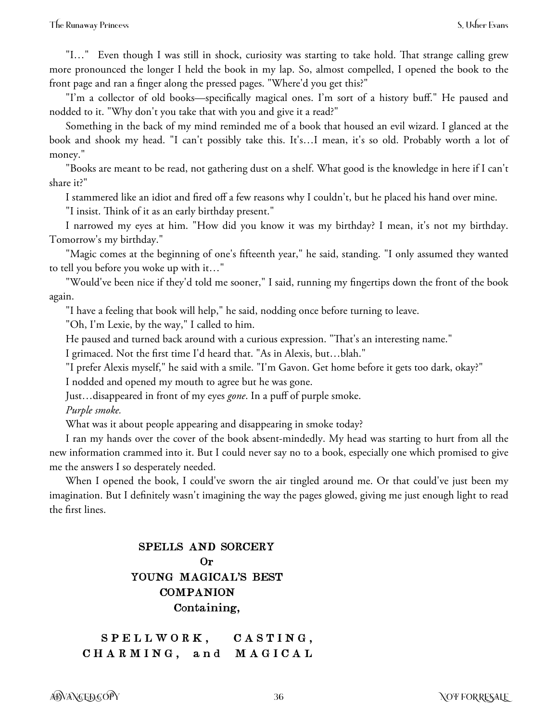"I..." Even though I was still in shock, curiosity was starting to take hold. That strange calling grew more pronounced the longer I held the book in my lap. So, almost compelled, I opened the book to the front page and ran a finger along the pressed pages. "Where'd you get this?"

"I'm a collector of old books—specifically magical ones. I'm sort of a history buff." He paused and nodded to it. "Why don't you take that with you and give it a read?"

Something in the back of my mind reminded me of a book that housed an evil wizard. I glanced at the book and shook my head. "I can't possibly take this. It's…I mean, it's so old. Probably worth a lot of money."

"Books are meant to be read, not gathering dust on a shelf. What good is the knowledge in here if I can't share it?"

I stammered like an idiot and fired off a few reasons why I couldn't, but he placed his hand over mine.

"I insist. Think of it as an early birthday present."

I narrowed my eyes at him. "How did you know it was my birthday? I mean, it's not my birthday. Tomorrow's my birthday."

"Magic comes at the beginning of one's fifteenth year," he said, standing. "I only assumed they wanted to tell you before you woke up with it…"

"Would've been nice if they'd told me sooner," I said, running my fingertips down the front of the book again.

"I have a feeling that book will help," he said, nodding once before turning to leave.

"Oh, I'm Lexie, by the way," I called to him.

He paused and turned back around with a curious expression. "That's an interesting name."

I grimaced. Not the first time I'd heard that. "As in Alexis, but…blah."

"I prefer Alexis myself," he said with a smile. "I'm Gavon. Get home before it gets too dark, okay?"

I nodded and opened my mouth to agree but he was gone.

Just…disappeared in front of my eyes *gone*. In a puff of purple smoke.

*Purple smoke.*

What was it about people appearing and disappearing in smoke today?

I ran my hands over the cover of the book absent-mindedly. My head was starting to hurt from all the new information crammed into it. But I could never say no to a book, especially one which promised to give me the answers I so desperately needed.

When I opened the book, I could've sworn the air tingled around me. Or that could've just been my imagination. But I definitely wasn't imagining the way the pages glowed, giving me just enough light to read the first lines.

#### SPELLS AND SORCERY Or YOUNG MAGICAL'S BEST **COMPANION** Containing,

 $SPELL WORK$ ,  $CASTING$ , CHARMING, and MAGICAL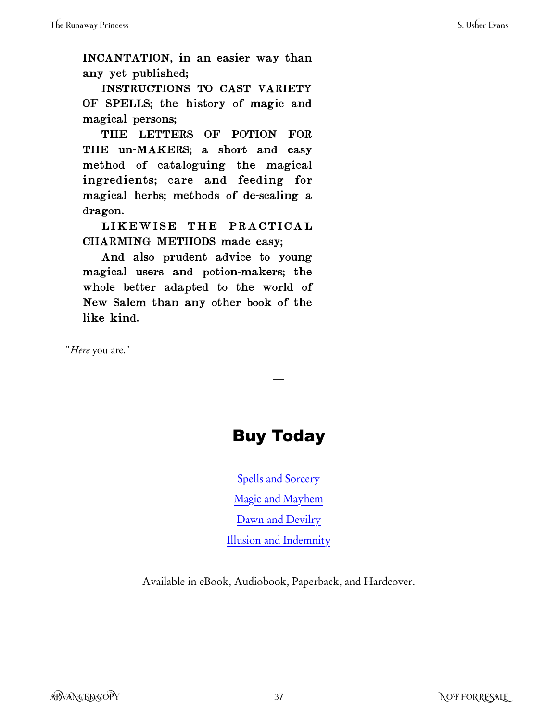INCANTATION, in an easier way than any yet published;

INSTRUCTIONS TO CAST VARIETY OF SPELLS; the history of magic and magical persons;

THE LETTERS OF POTION FOR THE un-MAKERS; a short and easy method of cataloguing the magical ingredients; care and feeding for magical herbs; methods of de-scaling a dragon.

LIKEWISE THE PRACTICAL CHARMING METHODS made easy;

And also prudent advice to young magical users and potion-makers; the whole better adapted to the world of New Salem than any other book of the like kind.

"*Here* you are."

#### Buy Today

—

[Spells and Sorcery](http://www.susherevans.com/book/lexie-spells/) [Magic and Mayhem](http://www.susherevans.com/book/lexie-magic/) [Dawn and Devilry](http://www.susherevans.com/book/lexie-dawn) [Illusion and Indemnity](http://www.susherevans.com/book/lexie-illusion/)

Available in eBook, Audiobook, Paperback, and Hardcover.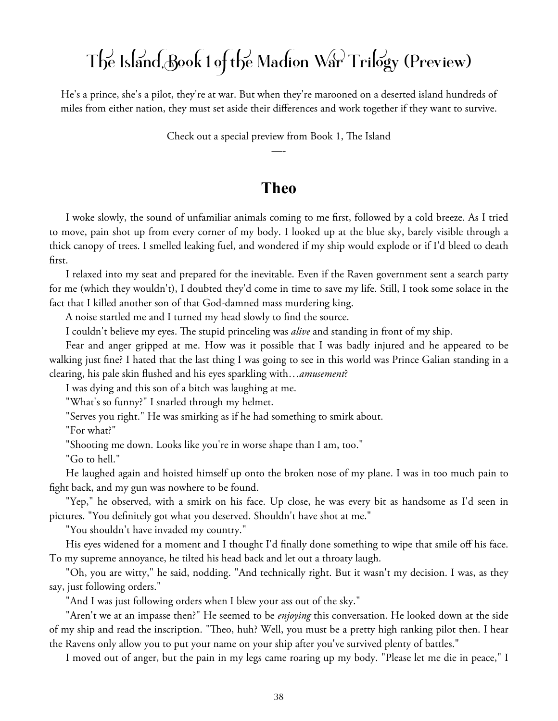### The Island, Book 1 of the Madion War Trilogy (Preview)

He's a prince, she's a pilot, they're at war. But when they're marooned on a deserted island hundreds of miles from either nation, they must set aside their differences and work together if they want to survive.

> Check out a special preview from Book 1, The Island —-

#### **Theo**

I woke slowly, the sound of unfamiliar animals coming to me first, followed by a cold breeze. As I tried to move, pain shot up from every corner of my body. I looked up at the blue sky, barely visible through a thick canopy of trees. I smelled leaking fuel, and wondered if my ship would explode or if I'd bleed to death first.

I relaxed into my seat and prepared for the inevitable. Even if the Raven government sent a search party for me (which they wouldn't), I doubted they'd come in time to save my life. Still, I took some solace in the fact that I killed another son of that God-damned mass murdering king.

A noise startled me and I turned my head slowly to find the source.

I couldn't believe my eyes. The stupid princeling was *alive* and standing in front of my ship.

Fear and anger gripped at me. How was it possible that I was badly injured and he appeared to be walking just fine? I hated that the last thing I was going to see in this world was Prince Galian standing in a clearing, his pale skin flushed and his eyes sparkling with…*amusement*?

I was dying and this son of a bitch was laughing at me.

"What's so funny?" I snarled through my helmet.

"Serves you right." He was smirking as if he had something to smirk about.

"For what?"

"Shooting me down. Looks like you're in worse shape than I am, too."

"Go to hell."

He laughed again and hoisted himself up onto the broken nose of my plane. I was in too much pain to fight back, and my gun was nowhere to be found.

"Yep," he observed, with a smirk on his face. Up close, he was every bit as handsome as I'd seen in pictures. "You definitely got what you deserved. Shouldn't have shot at me."

"You shouldn't have invaded my country."

His eyes widened for a moment and I thought I'd finally done something to wipe that smile off his face. To my supreme annoyance, he tilted his head back and let out a throaty laugh.

"Oh, you are witty," he said, nodding. "And technically right. But it wasn't my decision. I was, as they say, just following orders."

"And I was just following orders when I blew your ass out of the sky."

"Aren't we at an impasse then?" He seemed to be *enjoying* this conversation. He looked down at the side of my ship and read the inscription. "Theo, huh? Well, you must be a pretty high ranking pilot then. I hear the Ravens only allow you to put your name on your ship after you've survived plenty of battles."

I moved out of anger, but the pain in my legs came roaring up my body. "Please let me die in peace," I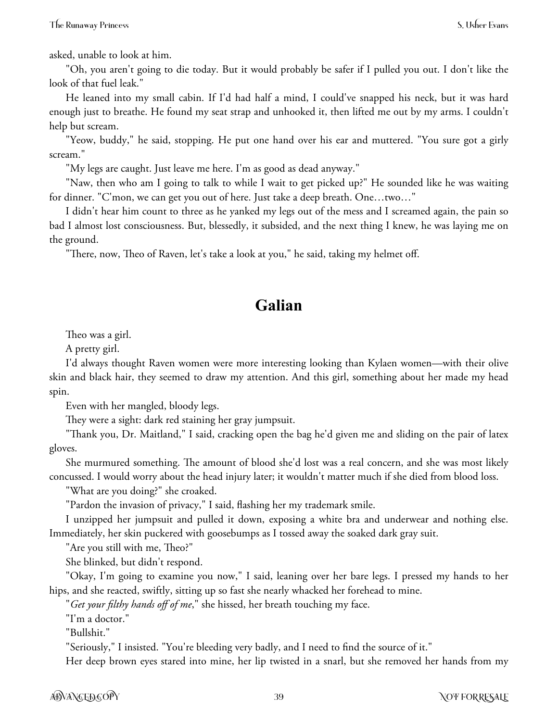asked, unable to look at him.

"Oh, you aren't going to die today. But it would probably be safer if I pulled you out. I don't like the look of that fuel leak."

He leaned into my small cabin. If I'd had half a mind, I could've snapped his neck, but it was hard enough just to breathe. He found my seat strap and unhooked it, then lifted me out by my arms. I couldn't help but scream.

"Yeow, buddy," he said, stopping. He put one hand over his ear and muttered. "You sure got a girly scream."

"My legs are caught. Just leave me here. I'm as good as dead anyway."

"Naw, then who am I going to talk to while I wait to get picked up?" He sounded like he was waiting for dinner. "C'mon, we can get you out of here. Just take a deep breath. One…two…"

I didn't hear him count to three as he yanked my legs out of the mess and I screamed again, the pain so bad I almost lost consciousness. But, blessedly, it subsided, and the next thing I knew, he was laying me on the ground.

"There, now, Theo of Raven, let's take a look at you," he said, taking my helmet off.

### **Galian**

Theo was a girl.

A pretty girl.

I'd always thought Raven women were more interesting looking than Kylaen women—with their olive skin and black hair, they seemed to draw my attention. And this girl, something about her made my head spin.

Even with her mangled, bloody legs.

They were a sight: dark red staining her gray jumpsuit.

"Tank you, Dr. Maitland," I said, cracking open the bag he'd given me and sliding on the pair of latex gloves.

She murmured something. The amount of blood she'd lost was a real concern, and she was most likely concussed. I would worry about the head injury later; it wouldn't matter much if she died from blood loss.

"What are you doing?" she croaked.

"Pardon the invasion of privacy," I said, flashing her my trademark smile.

I unzipped her jumpsuit and pulled it down, exposing a white bra and underwear and nothing else. Immediately, her skin puckered with goosebumps as I tossed away the soaked dark gray suit.

"Are you still with me, Theo?"

She blinked, but didn't respond.

"Okay, I'm going to examine you now," I said, leaning over her bare legs. I pressed my hands to her hips, and she reacted, swiftly, sitting up so fast she nearly whacked her forehead to mine.

"*Get your filthy hands off of me*," she hissed, her breath touching my face.

"I'm a doctor."

"Bullshit."

"Seriously," I insisted. "You're bleeding very badly, and I need to find the source of it."

Her deep brown eyes stared into mine, her lip twisted in a snarl, but she removed her hands from my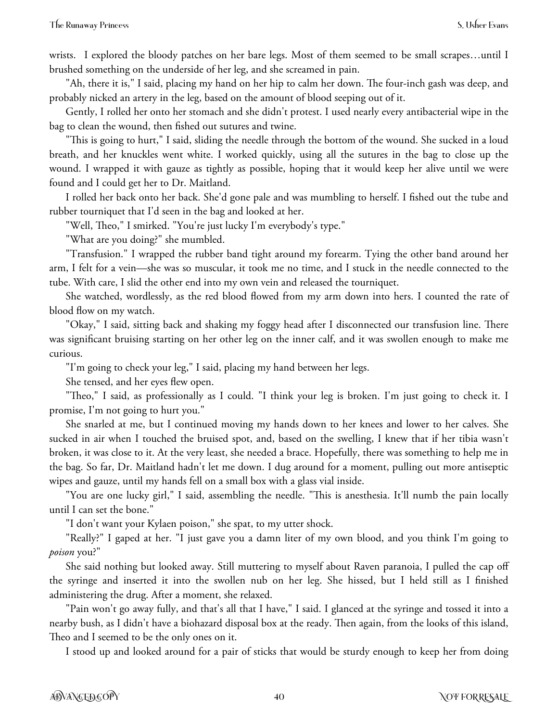wrists. I explored the bloody patches on her bare legs. Most of them seemed to be small scrapes…until I brushed something on the underside of her leg, and she screamed in pain.

"Ah, there it is," I said, placing my hand on her hip to calm her down. The four-inch gash was deep, and probably nicked an artery in the leg, based on the amount of blood seeping out of it.

Gently, I rolled her onto her stomach and she didn't protest. I used nearly every antibacterial wipe in the bag to clean the wound, then fished out sutures and twine.

"This is going to hurt," I said, sliding the needle through the bottom of the wound. She sucked in a loud breath, and her knuckles went white. I worked quickly, using all the sutures in the bag to close up the wound. I wrapped it with gauze as tightly as possible, hoping that it would keep her alive until we were found and I could get her to Dr. Maitland.

I rolled her back onto her back. She'd gone pale and was mumbling to herself. I fished out the tube and rubber tourniquet that I'd seen in the bag and looked at her.

"Well, Theo," I smirked. "You're just lucky I'm everybody's type."

"What are you doing?" she mumbled.

"Transfusion." I wrapped the rubber band tight around my forearm. Tying the other band around her arm, I felt for a vein—she was so muscular, it took me no time, and I stuck in the needle connected to the tube. With care, I slid the other end into my own vein and released the tourniquet.

She watched, wordlessly, as the red blood flowed from my arm down into hers. I counted the rate of blood flow on my watch.

"Okay," I said, sitting back and shaking my foggy head after I disconnected our transfusion line. There was significant bruising starting on her other leg on the inner calf, and it was swollen enough to make me curious.

"I'm going to check your leg," I said, placing my hand between her legs.

She tensed, and her eyes flew open.

"Theo," I said, as professionally as I could. "I think your leg is broken. I'm just going to check it. I promise, I'm not going to hurt you."

She snarled at me, but I continued moving my hands down to her knees and lower to her calves. She sucked in air when I touched the bruised spot, and, based on the swelling, I knew that if her tibia wasn't broken, it was close to it. At the very least, she needed a brace. Hopefully, there was something to help me in the bag. So far, Dr. Maitland hadn't let me down. I dug around for a moment, pulling out more antiseptic wipes and gauze, until my hands fell on a small box with a glass vial inside.

"You are one lucky girl," I said, assembling the needle. "This is anesthesia. It'll numb the pain locally until I can set the bone."

"I don't want your Kylaen poison," she spat, to my utter shock.

"Really?" I gaped at her. "I just gave you a damn liter of my own blood, and you think I'm going to *poison* you?"

She said nothing but looked away. Still muttering to myself about Raven paranoia, I pulled the cap off the syringe and inserted it into the swollen nub on her leg. She hissed, but I held still as I finished administering the drug. After a moment, she relaxed.

"Pain won't go away fully, and that's all that I have," I said. I glanced at the syringe and tossed it into a nearby bush, as I didn't have a biohazard disposal box at the ready. Then again, from the looks of this island, Theo and I seemed to be the only ones on it.

I stood up and looked around for a pair of sticks that would be sturdy enough to keep her from doing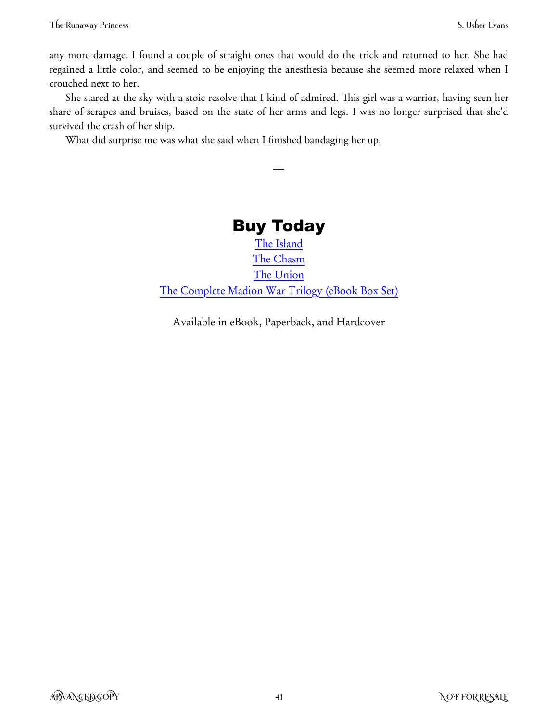any more damage. I found a couple of straight ones that would do the trick and returned to her. She had regained a little color, and seemed to be enjoying the anesthesia because she seemed more relaxed when I crouched next to her.

She stared at the sky with a stoic resolve that I kind of admired. This girl was a warrior, having seen her share of scrapes and bruises, based on the state of her arms and legs. I was no longer surprised that she'd survived the crash of her ship.

—

What did surprise me was what she said when I finished bandaging her up.



Available in eBook, Paperback, and Hardcover